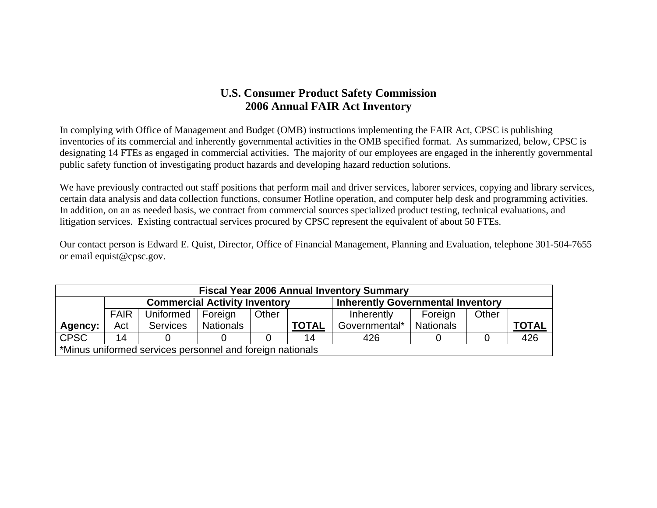### **U.S. Consumer Product Safety Commission 2006 Annual FAIR Act Inventory**

In complying with Office of Management and Budget (OMB) instructions implementing the FAIR Act, CPSC is publishing inventories of its commercial and inherently governmental activities in the OMB specified format. As summarized, below, CPSC is designating 14 FTEs as engaged in commercial activities. The majority of our employees are engaged in the inherently governmental public safety function of investigating product hazards and developing hazard reduction solutions.

We have previously contracted out staff positions that perform mail and driver services, laborer services, copying and library services, certain data analysis and data collection functions, consumer Hotline operation, and computer help desk and programming activities. In addition, on an as needed basis, we contract from commercial sources specialized product testing, technical evaluations, and litigation services. Existing contractual services procured by CPSC represent the equivalent of about 50 FTEs.

Our contact person is Edward E. Quist, Director, Office of Financial Management, Planning and Evaluation, telephone 301-504-7655 or email equist@cpsc.gov.

|             | <b>Fiscal Year 2006 Annual Inventory Summary</b>                                 |                 |           |       |              |               |                  |       |              |
|-------------|----------------------------------------------------------------------------------|-----------------|-----------|-------|--------------|---------------|------------------|-------|--------------|
|             | <b>Commercial Activity Inventory</b><br><b>Inherently Governmental Inventory</b> |                 |           |       |              |               |                  |       |              |
|             | <b>FAIR</b>                                                                      | Uniformed       | Foreign   | Other |              | Inherently    | Foreign          | Other |              |
| Agency:     | Act                                                                              | <b>Services</b> | Nationals |       | <b>TOTAL</b> | Governmental* | <b>Nationals</b> |       | <b>TOTAL</b> |
| <b>CPSC</b> | 14                                                                               |                 |           |       | 14           | 426           |                  |       | 426          |
|             | *Minus uniformed services personnel and foreign nationals                        |                 |           |       |              |               |                  |       |              |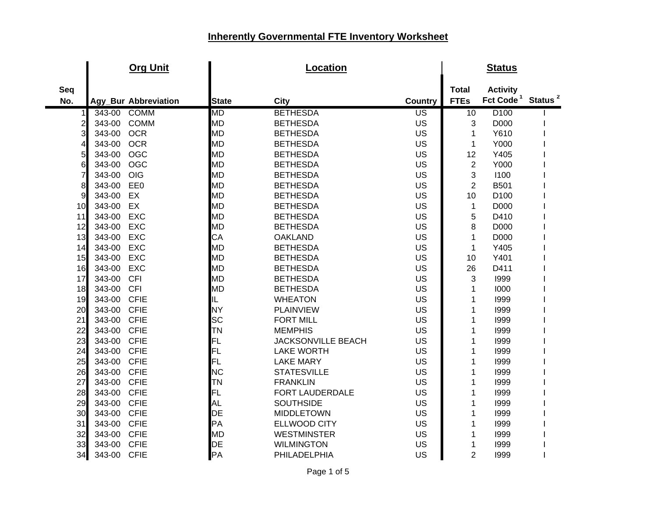|              | <b>Org Unit</b>       |              | Location                  |                |                 | <b>Status</b>         |                     |
|--------------|-----------------------|--------------|---------------------------|----------------|-----------------|-----------------------|---------------------|
| Seq          |                       |              |                           |                | <b>Total</b>    | <b>Activity</b>       |                     |
| No.          | Agy_Bur Abbreviation  | <b>State</b> | <b>City</b>               | <b>Country</b> | <b>FTEs</b>     | Fct Code <sup>1</sup> | Status <sup>2</sup> |
| 1            | <b>COMM</b><br>343-00 | MD           | <b>BETHESDA</b>           | US             | $\overline{10}$ | D <sub>100</sub>      |                     |
| $\mathsf{2}$ | 343-00<br><b>COMM</b> | <b>MD</b>    | <b>BETHESDA</b>           | US             | 3               | D000                  |                     |
| 3            | <b>OCR</b><br>343-00  | <b>MD</b>    | <b>BETHESDA</b>           | US             | 1               | Y610                  |                     |
| 4            | <b>OCR</b><br>343-00  | <b>MD</b>    | <b>BETHESDA</b>           | US             | 1               | Y000                  |                     |
| 5            | <b>OGC</b><br>343-00  | <b>MD</b>    | <b>BETHESDA</b>           | US             | 12              | Y405                  |                     |
| 6            | <b>OGC</b><br>343-00  | <b>MD</b>    | <b>BETHESDA</b>           | <b>US</b>      | $\overline{2}$  | Y000                  |                     |
| 7            | OIG<br>343-00         | <b>MD</b>    | <b>BETHESDA</b>           | US             | 3               | 1100                  |                     |
| 8            | 343-00<br>EE0         | <b>MD</b>    | <b>BETHESDA</b>           | US             | $\overline{2}$  | <b>B501</b>           |                     |
| 9            | EX<br>343-00          | <b>MD</b>    | <b>BETHESDA</b>           | US             | 10              | D <sub>100</sub>      |                     |
| 10           | EX<br>343-00          | <b>MD</b>    | <b>BETHESDA</b>           | US             | 1               | D000                  |                     |
| 11           | <b>EXC</b><br>343-00  | <b>MD</b>    | <b>BETHESDA</b>           | US             | 5               | D410                  |                     |
| 12           | 343-00<br><b>EXC</b>  | <b>MD</b>    | <b>BETHESDA</b>           | US             | 8               | D000                  |                     |
| 13           | <b>EXC</b><br>343-00  | CA           | <b>OAKLAND</b>            | <b>US</b>      | 1               | D000                  |                     |
| 14           | <b>EXC</b><br>343-00  | <b>MD</b>    | <b>BETHESDA</b>           | US             | 1               | Y405                  |                     |
| 15           | 343-00<br><b>EXC</b>  | <b>MD</b>    | <b>BETHESDA</b>           | US             | 10              | Y401                  |                     |
| 16           | 343-00<br><b>EXC</b>  | <b>MD</b>    | <b>BETHESDA</b>           | US             | 26              | D411                  |                     |
| 17           | <b>CFI</b><br>343-00  | <b>MD</b>    | <b>BETHESDA</b>           | US             | 3               | 1999                  |                     |
| 18           | 343-00<br><b>CFI</b>  | <b>MD</b>    | <b>BETHESDA</b>           | US             | 1               | 1000                  |                     |
| 19           | 343-00<br><b>CFIE</b> | IL           | <b>WHEATON</b>            | US             | 1               | 1999                  |                     |
| 20           | 343-00<br><b>CFIE</b> | <b>NY</b>    | <b>PLAINVIEW</b>          | US             | 1               | 1999                  |                     |
| 21           | <b>CFIE</b><br>343-00 | <b>SC</b>    | <b>FORT MILL</b>          | US             | 1               | 1999                  |                     |
| 22           | <b>CFIE</b><br>343-00 | TN           | <b>MEMPHIS</b>            | US             | 1               | 1999                  |                     |
| 23           | 343-00<br><b>CFIE</b> | FL           | <b>JACKSONVILLE BEACH</b> | US             | 1               | 1999                  |                     |
| 24           | 343-00<br><b>CFIE</b> | FL           | <b>LAKE WORTH</b>         | US             | 1               | 1999                  |                     |
| 25           | <b>CFIE</b><br>343-00 | FL           | <b>LAKE MARY</b>          | US             | 1               | 1999                  |                     |
| 26           | <b>CFIE</b><br>343-00 | <b>NC</b>    | <b>STATESVILLE</b>        | US             | 1               | 1999                  |                     |
| 27           | 343-00<br><b>CFIE</b> | TN           | <b>FRANKLIN</b>           | US             | 1               | 1999                  |                     |
| 28           | <b>CFIE</b><br>343-00 | <b>FL</b>    | FORT LAUDERDALE           | US             | 1               | 1999                  |                     |
| 29           | <b>CFIE</b><br>343-00 | AL           | <b>SOUTHSIDE</b>          | US             | 1               | 1999                  |                     |
| 30           | <b>CFIE</b><br>343-00 | DE           | <b>MIDDLETOWN</b>         | US             | 1               | 1999                  |                     |
| 31           | <b>CFIE</b><br>343-00 | PA           | <b>ELLWOOD CITY</b>       | US             | 1               | 1999                  |                     |
| 32           | <b>CFIE</b><br>343-00 | <b>MD</b>    | <b>WESTMINSTER</b>        | US             | 1               | 1999                  |                     |
| 33           | <b>CFIE</b><br>343-00 | DE           | <b>WILMINGTON</b>         | US             | 1               | 1999                  |                     |
| 34           | <b>CFIE</b><br>343-00 | PA           | PHILADELPHIA              | US             | $\overline{2}$  | 1999                  |                     |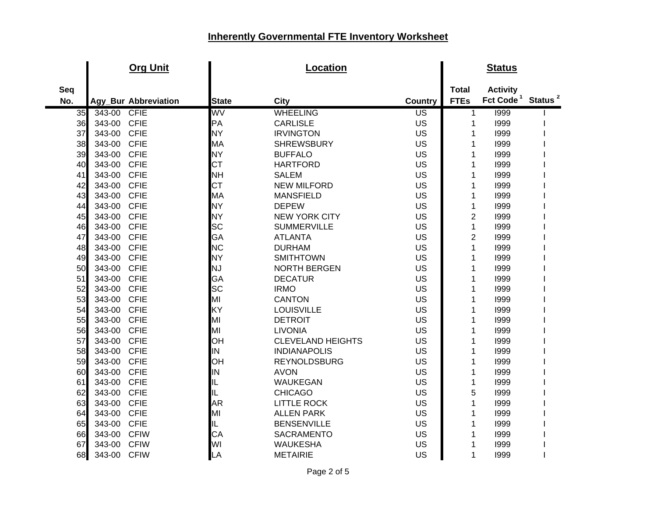|     | <b>Org Unit</b>       |              | <b>Location</b>          |                 |                | <b>Status</b>                             |  |
|-----|-----------------------|--------------|--------------------------|-----------------|----------------|-------------------------------------------|--|
| Seq |                       |              |                          |                 | <b>Total</b>   | <b>Activity</b>                           |  |
| No. | Agy_Bur Abbreviation  | <b>State</b> | <b>City</b>              | <b>Country</b>  | <b>FTEs</b>    | Fct Code <sup>1</sup> Status <sup>2</sup> |  |
| 35  | 343-00<br>CFIE        | WV           | <b>WHEELING</b>          | $\overline{US}$ | 1              | 1999                                      |  |
| 36  | <b>CFIE</b><br>343-00 | PA           | <b>CARLISLE</b>          | US              | 1              | 1999                                      |  |
| 37  | <b>CFIE</b><br>343-00 | <b>NY</b>    | <b>IRVINGTON</b>         | US              | 1              | 1999                                      |  |
| 38  | <b>CFIE</b><br>343-00 | MA           | <b>SHREWSBURY</b>        | US              | 1              | 1999                                      |  |
| 39  | 343-00<br><b>CFIE</b> | <b>NY</b>    | <b>BUFFALO</b>           | US              | 1              | 1999                                      |  |
| 40  | 343-00<br><b>CFIE</b> | <b>CT</b>    | <b>HARTFORD</b>          | US              | 1              | 1999                                      |  |
| 41  | 343-00<br><b>CFIE</b> | <b>NH</b>    | <b>SALEM</b>             | US              | 1              | 1999                                      |  |
| 42  | 343-00<br><b>CFIE</b> | <b>CT</b>    | <b>NEW MILFORD</b>       | US              | 1              | 1999                                      |  |
| 43  | 343-00<br><b>CFIE</b> | MA           | <b>MANSFIELD</b>         | US              | 1              | 1999                                      |  |
| 44  | <b>CFIE</b><br>343-00 | <b>NY</b>    | <b>DEPEW</b>             | US              | $\mathbf{1}$   | 1999                                      |  |
| 45  | 343-00<br><b>CFIE</b> | <b>NY</b>    | <b>NEW YORK CITY</b>     | US              | $\overline{2}$ | 1999                                      |  |
| 46  | <b>CFIE</b><br>343-00 | <b>SC</b>    | <b>SUMMERVILLE</b>       | US              | $\mathbf{1}$   | 1999                                      |  |
| 47  | 343-00<br><b>CFIE</b> | GA           | <b>ATLANTA</b>           | US              | $\overline{2}$ | 1999                                      |  |
| 48  | 343-00<br><b>CFIE</b> | <b>NC</b>    | <b>DURHAM</b>            | US              | 1              | 1999                                      |  |
| 49  | 343-00<br><b>CFIE</b> | <b>NY</b>    | <b>SMITHTOWN</b>         | US              | 1              | 1999                                      |  |
| 50  | 343-00<br><b>CFIE</b> | <b>NJ</b>    | <b>NORTH BERGEN</b>      | US              | 1              | 1999                                      |  |
| 51  | 343-00<br><b>CFIE</b> | GA           | <b>DECATUR</b>           | US              | 1              | 1999                                      |  |
| 52  | 343-00<br><b>CFIE</b> | <b>SC</b>    | <b>IRMO</b>              | US              | 1              | 1999                                      |  |
| 53  | <b>CFIE</b><br>343-00 | MI           | <b>CANTON</b>            | US              | 1              | 1999                                      |  |
| 54  | 343-00<br><b>CFIE</b> | KY           | <b>LOUISVILLE</b>        | US              | 1              | 1999                                      |  |
| 55  | 343-00<br><b>CFIE</b> | MI           | <b>DETROIT</b>           | US              | 1              | 1999                                      |  |
| 56  | <b>CFIE</b><br>343-00 | MI           | <b>LIVONIA</b>           | US              | 1              | 1999                                      |  |
| 57  | <b>CFIE</b><br>343-00 | OН           | <b>CLEVELAND HEIGHTS</b> | US              | 1              | 1999                                      |  |
| 58  | <b>CFIE</b><br>343-00 | IN           | <b>INDIANAPOLIS</b>      | US              | 1              | 1999                                      |  |
| 59  | <b>CFIE</b><br>343-00 | OH           | <b>REYNOLDSBURG</b>      | US              | 1              | 1999                                      |  |
| 60  | <b>CFIE</b><br>343-00 | IN           | <b>AVON</b>              | US              | 1              | 1999                                      |  |
| 61  | <b>CFIE</b><br>343-00 | IL           | <b>WAUKEGAN</b>          | US              | $\mathbf{1}$   | 1999                                      |  |
| 62  | 343-00<br><b>CFIE</b> | IL           | <b>CHICAGO</b>           | US              | 5              | 1999                                      |  |
| 63  | 343-00<br><b>CFIE</b> | <b>AR</b>    | <b>LITTLE ROCK</b>       | US              | 1              | 1999                                      |  |
| 64  | 343-00<br><b>CFIE</b> | MI           | <b>ALLEN PARK</b>        | US              | 1              | 1999                                      |  |
| 65  | <b>CFIE</b><br>343-00 | IL           | <b>BENSENVILLE</b>       | US              | 1              | 1999                                      |  |
| 66  | 343-00<br><b>CFIW</b> | CA           | <b>SACRAMENTO</b>        | US              | 1              | 1999                                      |  |
| 67  | 343-00<br><b>CFIW</b> | WI           | <b>WAUKESHA</b>          | US              | 1              | 1999                                      |  |
| 68  | 343-00<br><b>CFIW</b> | LA           | <b>METAIRIE</b>          | US              | 1              | 1999                                      |  |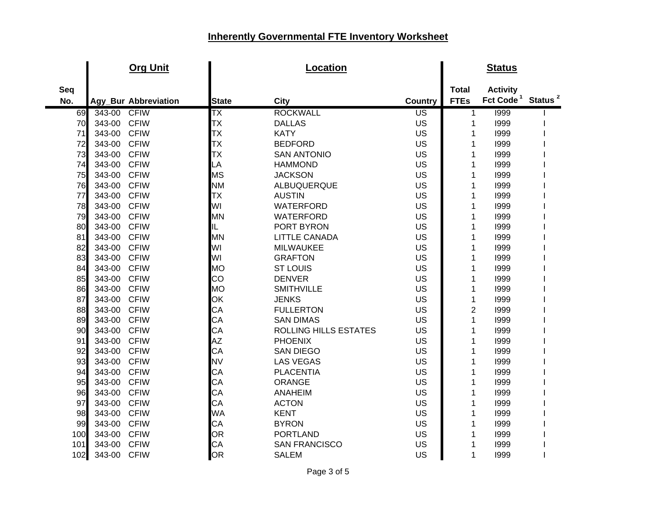|     |        | <b>Org Unit</b>      |              | <b>Location</b>              |                          |                | <b>Status</b>                             |  |
|-----|--------|----------------------|--------------|------------------------------|--------------------------|----------------|-------------------------------------------|--|
| Seq |        |                      |              |                              |                          | <b>Total</b>   | <b>Activity</b>                           |  |
| No. |        | Agy_Bur Abbreviation | <b>State</b> | <b>City</b>                  | <b>Country</b>           | <b>FTEs</b>    | Fct Code <sup>1</sup> Status <sup>2</sup> |  |
| 69  | 343-00 | <b>CFIW</b>          | TΧ           | <b>ROCKWALL</b>              | $\overline{\mathsf{US}}$ | 1              | 1999                                      |  |
| 70  | 343-00 | <b>CFIW</b>          | TХ           | <b>DALLAS</b>                | US                       | 1              | 1999                                      |  |
| 71  | 343-00 | <b>CFIW</b>          | TХ           | <b>KATY</b>                  | US                       | 1              | 1999                                      |  |
| 72  | 343-00 | <b>CFIW</b>          | TХ           | <b>BEDFORD</b>               | US                       | 1              | 1999                                      |  |
| 73  | 343-00 | <b>CFIW</b>          | TХ           | <b>SAN ANTONIO</b>           | US                       | 1              | 1999                                      |  |
| 74  | 343-00 | <b>CFIW</b>          | LA           | <b>HAMMOND</b>               | US                       | 1              | 1999                                      |  |
| 75  | 343-00 | <b>CFIW</b>          | <b>MS</b>    | <b>JACKSON</b>               | US                       | 1              | 1999                                      |  |
| 76  | 343-00 | <b>CFIW</b>          | <b>NM</b>    | ALBUQUERQUE                  | US                       | 1              | 1999                                      |  |
| 77  | 343-00 | <b>CFIW</b>          | TX           | <b>AUSTIN</b>                | US                       | 1              | 1999                                      |  |
| 78  | 343-00 | <b>CFIW</b>          | WI           | <b>WATERFORD</b>             | US                       | 1              | 1999                                      |  |
| 79  | 343-00 | <b>CFIW</b>          | MN           | <b>WATERFORD</b>             | US                       | 1              | 1999                                      |  |
| 80  | 343-00 | <b>CFIW</b>          | IL           | PORT BYRON                   | US                       | 1              | 1999                                      |  |
| 81  | 343-00 | <b>CFIW</b>          | <b>MN</b>    | <b>LITTLE CANADA</b>         | US                       | 1              | 1999                                      |  |
| 82  | 343-00 | <b>CFIW</b>          | WI           | <b>MILWAUKEE</b>             | US                       | 1              | 1999                                      |  |
| 83  | 343-00 | <b>CFIW</b>          | WI           | <b>GRAFTON</b>               | US                       | 1              | 1999                                      |  |
| 84  | 343-00 | <b>CFIW</b>          | <b>MO</b>    | <b>ST LOUIS</b>              | US                       | 1              | 1999                                      |  |
| 85  | 343-00 | <b>CFIW</b>          | CO           | <b>DENVER</b>                | US                       | 1              | 1999                                      |  |
| 86  | 343-00 | <b>CFIW</b>          | <b>MO</b>    | <b>SMITHVILLE</b>            | US                       | 1              | 1999                                      |  |
| 87  | 343-00 | <b>CFIW</b>          | OK           | <b>JENKS</b>                 | US                       | 1              | 1999                                      |  |
| 88  | 343-00 | <b>CFIW</b>          | CA           | <b>FULLERTON</b>             | US                       | $\overline{2}$ | 1999                                      |  |
| 89  | 343-00 | <b>CFIW</b>          | CA           | <b>SAN DIMAS</b>             | US                       | 1              | 1999                                      |  |
| 90  | 343-00 | <b>CFIW</b>          | CA           | <b>ROLLING HILLS ESTATES</b> | US                       | 1              | 1999                                      |  |
| 91  | 343-00 | <b>CFIW</b>          | AZ           | <b>PHOENIX</b>               | US                       | 1              | 1999                                      |  |
| 92  | 343-00 | <b>CFIW</b>          | CA           | <b>SAN DIEGO</b>             | US                       | 1              | 1999                                      |  |
| 93  | 343-00 | <b>CFIW</b>          | <b>NV</b>    | <b>LAS VEGAS</b>             | US                       | 1              | 1999                                      |  |
| 94  | 343-00 | <b>CFIW</b>          | CA           | <b>PLACENTIA</b>             | US                       | 1              | 1999                                      |  |
| 95  | 343-00 | <b>CFIW</b>          | CA           | <b>ORANGE</b>                | US                       | 1              | 1999                                      |  |
| 96  | 343-00 | <b>CFIW</b>          | CA           | <b>ANAHEIM</b>               | US                       | 1              | 1999                                      |  |
| 97  | 343-00 | <b>CFIW</b>          | CA           | <b>ACTON</b>                 | US                       | 1              | 1999                                      |  |
| 98  | 343-00 | <b>CFIW</b>          | <b>WA</b>    | <b>KENT</b>                  | US                       | 1              | 1999                                      |  |
| 99  | 343-00 | <b>CFIW</b>          | CA           | <b>BYRON</b>                 | US                       | 1              | 1999                                      |  |
| 100 | 343-00 | <b>CFIW</b>          | OR           | <b>PORTLAND</b>              | US                       | 1              | 1999                                      |  |
| 101 | 343-00 | <b>CFIW</b>          | CA           | <b>SAN FRANCISCO</b>         | US                       | 1              | 1999                                      |  |
| 102 | 343-00 | <b>CFIW</b>          | OR           | <b>SALEM</b>                 | US                       | 1              | 1999                                      |  |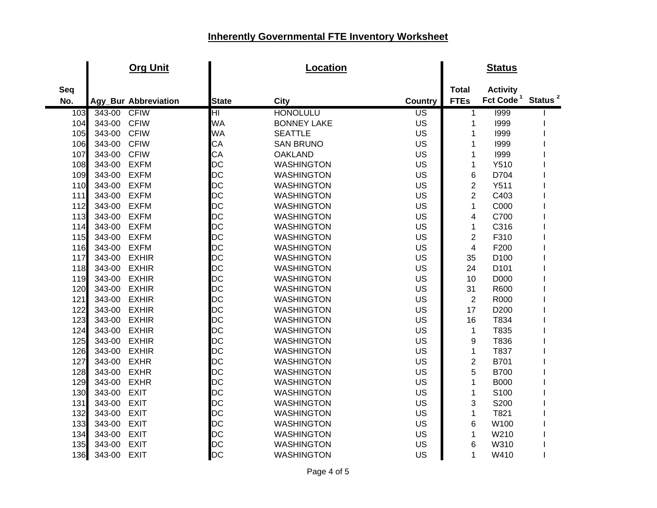|       |        | <b>Org Unit</b>      |                        | Location           |                          |                         | <b>Status</b>         |                     |
|-------|--------|----------------------|------------------------|--------------------|--------------------------|-------------------------|-----------------------|---------------------|
| Seq   |        |                      |                        |                    |                          | <b>Total</b>            | <b>Activity</b>       |                     |
| No.   |        | Agy_Bur Abbreviation | <b>State</b>           | <b>City</b>        | Country                  | <b>FTEs</b>             | Fct Code <sup>1</sup> | Status <sup>2</sup> |
| 103   | 343-00 | <b>CFIW</b>          | $\overline{\text{HI}}$ | <b>HONOLULU</b>    | $\overline{\mathsf{US}}$ | 1                       | 1999                  |                     |
| 104   | 343-00 | <b>CFIW</b>          | <b>WA</b>              | <b>BONNEY LAKE</b> | US                       | 1                       | 1999                  |                     |
| 105   | 343-00 | <b>CFIW</b>          | <b>WA</b>              | <b>SEATTLE</b>     | US                       | 1                       | 1999                  |                     |
| 106   | 343-00 | <b>CFIW</b>          | CA                     | <b>SAN BRUNO</b>   | US                       | 1                       | 1999                  |                     |
| 107   | 343-00 | <b>CFIW</b>          | CA                     | <b>OAKLAND</b>     | US                       | 1                       | 1999                  |                     |
| 108   | 343-00 | <b>EXFM</b>          | DC                     | <b>WASHINGTON</b>  | <b>US</b>                | $\mathbf{1}$            | Y510                  |                     |
| 109   | 343-00 | <b>EXFM</b>          | DC                     | <b>WASHINGTON</b>  | US                       | 6                       | D704                  |                     |
| 110   | 343-00 | <b>EXFM</b>          | DC                     | <b>WASHINGTON</b>  | US                       | $\overline{c}$          | Y511                  |                     |
| 111   | 343-00 | <b>EXFM</b>          | DC                     | <b>WASHINGTON</b>  | US                       | $\overline{2}$          | C403                  |                     |
| 112   | 343-00 | <b>EXFM</b>          | <b>DC</b>              | <b>WASHINGTON</b>  | <b>US</b>                | $\mathbf{1}$            | C000                  |                     |
| 113   | 343-00 | <b>EXFM</b>          | DC                     | <b>WASHINGTON</b>  | US                       | 4                       | C700                  |                     |
| 114   | 343-00 | <b>EXFM</b>          | DC                     | <b>WASHINGTON</b>  | US                       | 1                       | C316                  |                     |
| 115   | 343-00 | <b>EXFM</b>          | <b>DC</b>              | <b>WASHINGTON</b>  | <b>US</b>                | $\overline{2}$          | F310                  |                     |
| 116   | 343-00 | <b>EXFM</b>          | <b>DC</b>              | <b>WASHINGTON</b>  | US                       | $\overline{\mathbf{4}}$ | F200                  |                     |
| 117   | 343-00 | <b>EXHIR</b>         | <b>DC</b>              | <b>WASHINGTON</b>  | US                       | 35                      | D <sub>100</sub>      |                     |
| 118   | 343-00 | <b>EXHIR</b>         | DC                     | <b>WASHINGTON</b>  | US                       | 24                      | D <sub>101</sub>      |                     |
| 119   | 343-00 | <b>EXHIR</b>         | <b>DC</b>              | <b>WASHINGTON</b>  | US                       | 10                      | D000                  |                     |
| 120   | 343-00 | <b>EXHIR</b>         | DC                     | <b>WASHINGTON</b>  | <b>US</b>                | 31                      | R600                  |                     |
| 121   | 343-00 | <b>EXHIR</b>         | <b>DC</b>              | <b>WASHINGTON</b>  | <b>US</b>                | $\overline{2}$          | R000                  |                     |
| 122   | 343-00 | <b>EXHIR</b>         | <b>DC</b>              | <b>WASHINGTON</b>  | US                       | 17                      | D200                  |                     |
| 123   | 343-00 | <b>EXHIR</b>         | <b>DC</b>              | <b>WASHINGTON</b>  | <b>US</b>                | 16                      | T834                  |                     |
| 124   | 343-00 | <b>EXHIR</b>         | DC                     | <b>WASHINGTON</b>  | US                       | 1                       | T835                  |                     |
| 125   | 343-00 | <b>EXHIR</b>         | DC                     | <b>WASHINGTON</b>  | US                       | 9                       | T836                  |                     |
| 126   | 343-00 | <b>EXHIR</b>         | DC                     | <b>WASHINGTON</b>  | US                       | $\mathbf{1}$            | T837                  |                     |
| 127   | 343-00 | <b>EXHR</b>          | DC                     | <b>WASHINGTON</b>  | US                       | $\overline{c}$          | B701                  |                     |
| 128   | 343-00 | <b>EXHR</b>          | DC                     | <b>WASHINGTON</b>  | US                       | 5                       | <b>B700</b>           |                     |
| 129   | 343-00 | <b>EXHR</b>          | <b>DC</b>              | <b>WASHINGTON</b>  | US                       | 1                       | <b>B000</b>           |                     |
| 130   | 343-00 | <b>EXIT</b>          | <b>DC</b>              | <b>WASHINGTON</b>  | US                       | $\mathbf{1}$            | S100                  |                     |
| $131$ | 343-00 | <b>EXIT</b>          | <b>DC</b>              | <b>WASHINGTON</b>  | US                       | 3                       | S200                  |                     |
| 132   | 343-00 | <b>EXIT</b>          | DC                     | <b>WASHINGTON</b>  | <b>US</b>                | $\mathbf{1}$            | T821                  |                     |
| 133   | 343-00 | <b>EXIT</b>          | <b>DC</b>              | <b>WASHINGTON</b>  | US                       | 6                       | W100                  |                     |
| 134   | 343-00 | <b>EXIT</b>          | <b>DC</b>              | <b>WASHINGTON</b>  | <b>US</b>                | 1                       | W210                  |                     |
| 135   | 343-00 | <b>EXIT</b>          | DC                     | <b>WASHINGTON</b>  | US                       | 6                       | W310                  |                     |
| 136   | 343-00 | <b>EXIT</b>          | <b>DC</b>              | <b>WASHINGTON</b>  | US                       | 1                       | W410                  |                     |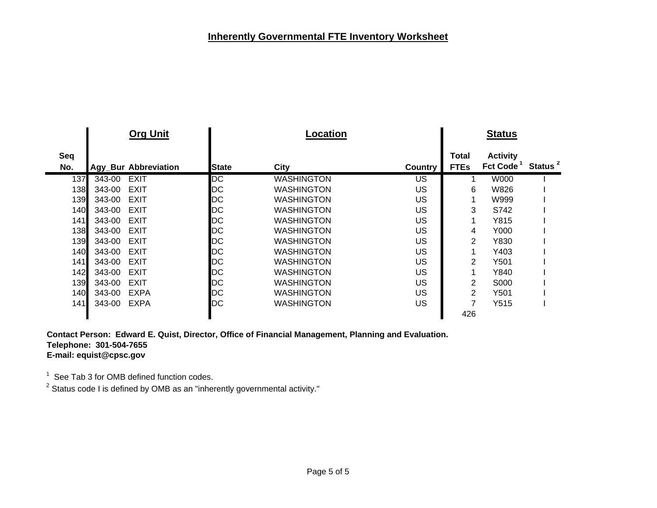|            | <b>Org Unit</b>             |              | Location          |         |                      | <b>Status</b>                            |                     |
|------------|-----------------------------|--------------|-------------------|---------|----------------------|------------------------------------------|---------------------|
| Seq<br>No. | <b>Agy_Bur Abbreviation</b> | <b>State</b> | City              | Country | Total<br><b>FTEs</b> | <b>Activity</b><br>Fct Code <sup>1</sup> | Status <sup>2</sup> |
| 137        | 343-00<br>EXIT              | DC           | <b>WASHINGTON</b> | US      | 1                    | W000                                     |                     |
| 138        | <b>EXIT</b><br>343-00       | DC           | <b>WASHINGTON</b> | US      | 6                    | W826                                     |                     |
| 139        | EXIT<br>343-00              | DC           | <b>WASHINGTON</b> | US      | 1                    | W999                                     |                     |
| 140        | <b>EXIT</b><br>343-00       | DC           | <b>WASHINGTON</b> | US      | 3                    | S742                                     |                     |
| 141        | <b>EXIT</b><br>343-00       | DC           | <b>WASHINGTON</b> | US      | 1                    | Y815                                     |                     |
| 138        | <b>EXIT</b><br>343-00       | DC           | <b>WASHINGTON</b> | US      | 4                    | Y000                                     |                     |
| 139        | <b>EXIT</b><br>343-00       | DC           | <b>WASHINGTON</b> | US      | 2                    | Y830                                     |                     |
| 140        | <b>EXIT</b><br>343-00       | DC           | <b>WASHINGTON</b> | US      | 1                    | Y403                                     |                     |
| 141        | <b>EXIT</b><br>343-00       | DC           | <b>WASHINGTON</b> | US      | 2                    | Y501                                     |                     |
| 142        | <b>EXIT</b><br>343-00       | DC           | <b>WASHINGTON</b> | US      | 1                    | Y840                                     |                     |
| 139        | <b>EXIT</b><br>343-00       | DC           | <b>WASHINGTON</b> | US      | 2                    | S000                                     |                     |
| 140I       | <b>EXPA</b><br>343-00       | DC           | <b>WASHINGTON</b> | US      | 2                    | Y501                                     |                     |
| 141        | <b>EXPA</b><br>343-00       | DC           | <b>WASHINGTON</b> | US      | 7                    | Y515                                     |                     |
|            |                             |              |                   |         | 426                  |                                          |                     |
|            |                             |              |                   |         |                      |                                          |                     |

**Contact Person: Edward E. Quist, Director, Office of Financial Management, Planning and Evaluation. Telephone: 301-504-7655 E-mail: equist@cpsc.gov**

 $^{\rm 1} \,$  See Tab 3 for OMB defined function codes.<br><sup>2</sup> Status code I is defined by OMB as an "inherently governmental activity."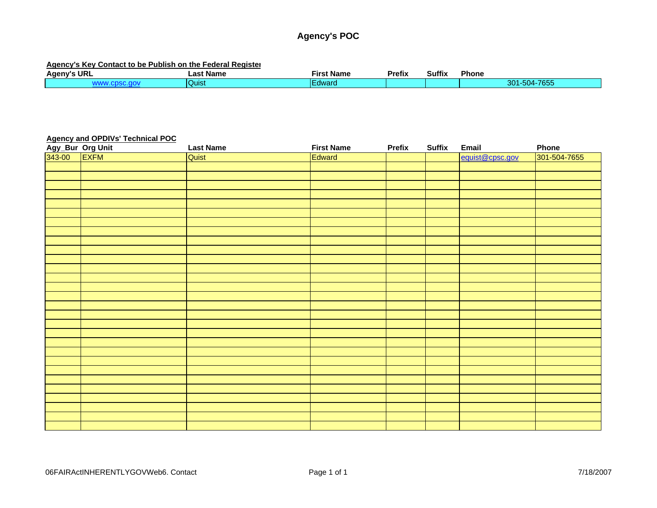### **Agency's POC**

#### **Agency's Key Contact to be Publish on the Federal Register**

| URI<br><b>Ageny's</b> | <b>Name</b><br>_ast | --<br><b>Firs</b><br><b>Name</b> |  | <b>Suffix</b> | Phone                                      |
|-----------------------|---------------------|----------------------------------|--|---------------|--------------------------------------------|
|                       | <b>Quist</b>        | dward                            |  |               | 7655<br>$-01$<br>201<br>-504-7<br>w<br>טטע |

#### **Agency and OPDIVs' Technical POC**

| Agy_Bur Org Unit<br>343-00 EXFM | <b>Last Name</b> | <b>First Name</b> | <b>Prefix</b> | <b>Suffix</b> | Email           | Phone        |
|---------------------------------|------------------|-------------------|---------------|---------------|-----------------|--------------|
|                                 | Quist            | Edward            |               |               | equist@cpsc.gov | 301-504-7655 |
|                                 |                  |                   |               |               |                 |              |
|                                 |                  |                   |               |               |                 |              |
|                                 |                  |                   |               |               |                 |              |
|                                 |                  |                   |               |               |                 |              |
|                                 |                  |                   |               |               |                 |              |
|                                 |                  |                   |               |               |                 |              |
|                                 |                  |                   |               |               |                 |              |
|                                 |                  |                   |               |               |                 |              |
|                                 |                  |                   |               |               |                 |              |
|                                 |                  |                   |               |               |                 |              |
|                                 |                  |                   |               |               |                 |              |
|                                 |                  |                   |               |               |                 |              |
|                                 |                  |                   |               |               |                 |              |
|                                 |                  |                   |               |               |                 |              |
|                                 |                  |                   |               |               |                 |              |
|                                 |                  |                   |               |               |                 |              |
|                                 |                  |                   |               |               |                 |              |
|                                 |                  |                   |               |               |                 |              |
|                                 |                  |                   |               |               |                 |              |
|                                 |                  |                   |               |               |                 |              |
|                                 |                  |                   |               |               |                 |              |
|                                 |                  |                   |               |               |                 |              |
|                                 |                  |                   |               |               |                 |              |
|                                 |                  |                   |               |               |                 |              |
|                                 |                  |                   |               |               |                 |              |
|                                 |                  |                   |               |               |                 |              |
|                                 |                  |                   |               |               |                 |              |
|                                 |                  |                   |               |               |                 |              |
|                                 |                  |                   |               |               |                 |              |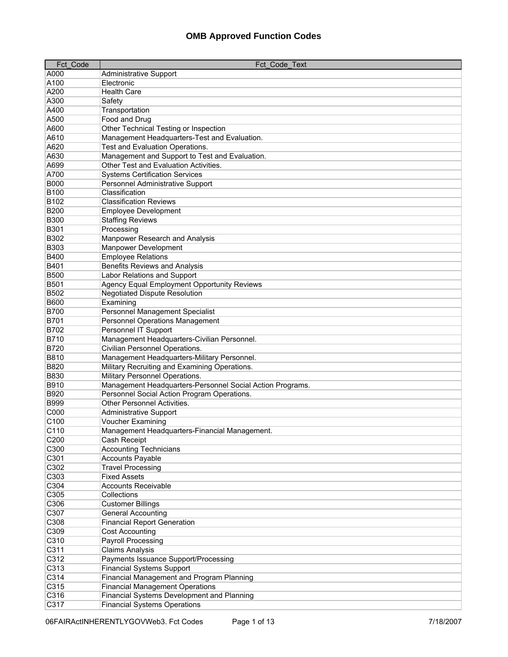| Fct Code                 | Fct Code Text                                             |
|--------------------------|-----------------------------------------------------------|
| A000                     | <b>Administrative Support</b>                             |
| A100                     | Electronic                                                |
| A200                     | <b>Health Care</b>                                        |
| A300                     | Safety                                                    |
| A400                     | Transportation                                            |
| A500                     | Food and Drug                                             |
| A600                     | Other Technical Testing or Inspection                     |
| A610                     | Management Headquarters-Test and Evaluation.              |
| A620                     | Test and Evaluation Operations.                           |
| A630                     | Management and Support to Test and Evaluation.            |
| A699                     | Other Test and Evaluation Activities.                     |
| A700                     | <b>Systems Certification Services</b>                     |
| <b>B000</b>              | Personnel Administrative Support                          |
| <b>B100</b>              | Classification                                            |
| <b>B102</b>              | <b>Classification Reviews</b>                             |
| <b>B200</b>              | <b>Employee Development</b>                               |
| <b>B300</b>              | <b>Staffing Reviews</b>                                   |
| <b>B301</b>              | Processing                                                |
| <b>B302</b>              | Manpower Research and Analysis                            |
| <b>B303</b>              | Manpower Development                                      |
| <b>B400</b>              | <b>Employee Relations</b>                                 |
| <b>B401</b>              | <b>Benefits Reviews and Analysis</b>                      |
| <b>B500</b>              | Labor Relations and Support                               |
| <b>B501</b>              | <b>Agency Equal Employment Opportunity Reviews</b>        |
| <b>B502</b>              | <b>Negotiated Dispute Resolution</b>                      |
| <b>B600</b>              | Examining                                                 |
| <b>B700</b>              | Personnel Management Specialist                           |
| <b>B701</b>              | Personnel Operations Management                           |
| <b>B702</b>              | Personnel IT Support                                      |
| <b>B710</b>              | Management Headquarters-Civilian Personnel.               |
| <b>B720</b>              | Civilian Personnel Operations.                            |
| <b>B810</b>              | Management Headquarters-Military Personnel.               |
| <b>B820</b>              | Military Recruiting and Examining Operations.             |
| <b>B830</b>              | Military Personnel Operations.                            |
| <b>B910</b>              | Management Headquarters-Personnel Social Action Programs. |
| <b>B920</b>              | Personnel Social Action Program Operations.               |
| <b>B999</b>              | Other Personnel Activities.                               |
| C000                     | <b>Administrative Support</b>                             |
| C <sub>100</sub>         | Voucher Examining                                         |
| C110                     | Management Headquarters-Financial Management.             |
| C <sub>200</sub><br>C300 | Cash Receipt                                              |
| C301                     | <b>Accounting Technicians</b>                             |
| C302                     | <b>Accounts Payable</b><br><b>Travel Processing</b>       |
| C303                     | <b>Fixed Assets</b>                                       |
| C304                     | <b>Accounts Receivable</b>                                |
| C305                     | Collections                                               |
| C306                     | <b>Customer Billings</b>                                  |
| C307                     | <b>General Accounting</b>                                 |
| C308                     | <b>Financial Report Generation</b>                        |
| C309                     | <b>Cost Accounting</b>                                    |
| C310                     | Payroll Processing                                        |
| C311                     | <b>Claims Analysis</b>                                    |
| C312                     | Payments Issuance Support/Processing                      |
| C313                     | <b>Financial Systems Support</b>                          |
| C314                     | Financial Management and Program Planning                 |
| C315                     | <b>Financial Management Operations</b>                    |
| C316                     | Financial Systems Development and Planning                |
| C317                     | <b>Financial Systems Operations</b>                       |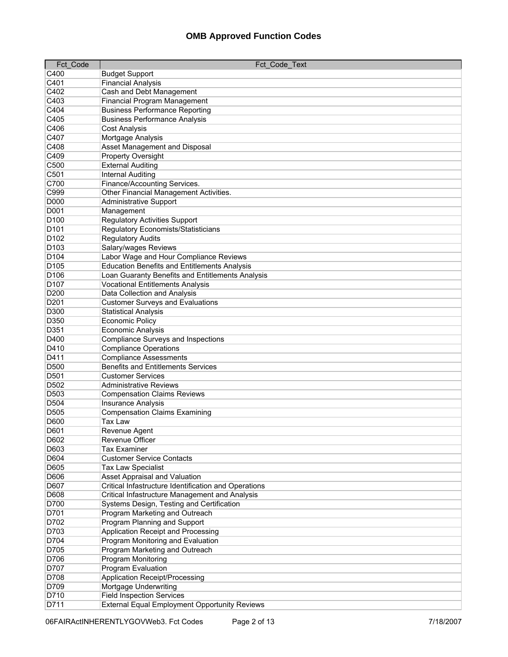| <b>Fct Code</b>  | Fct Code Text                                        |
|------------------|------------------------------------------------------|
| C400             | <b>Budget Support</b>                                |
| C401             | <b>Financial Analysis</b>                            |
| C402             | Cash and Debt Management                             |
| C403             | <b>Financial Program Management</b>                  |
| C404             | <b>Business Performance Reporting</b>                |
| C405             | <b>Business Performance Analysis</b>                 |
| C406             | <b>Cost Analysis</b>                                 |
| C407             | Mortgage Analysis                                    |
| C408             | <b>Asset Management and Disposal</b>                 |
| C409             | Property Oversight                                   |
| C500             | <b>External Auditing</b>                             |
| C501             | <b>Internal Auditing</b>                             |
| C700             | Finance/Accounting Services.                         |
| C999             | Other Financial Management Activities.               |
| <b>D000</b>      |                                                      |
| <b>D001</b>      | <b>Administrative Support</b>                        |
|                  | Management                                           |
| D <sub>100</sub> | <b>Regulatory Activities Support</b>                 |
| D <sub>101</sub> | <b>Regulatory Economists/Statisticians</b>           |
| D <sub>102</sub> | <b>Regulatory Audits</b>                             |
| D <sub>103</sub> | Salary/wages Reviews                                 |
| D <sub>104</sub> | Labor Wage and Hour Compliance Reviews               |
| D <sub>105</sub> | <b>Education Benefits and Entitlements Analysis</b>  |
| D <sub>106</sub> | Loan Guaranty Benefits and Entitlements Analysis     |
| D <sub>107</sub> | <b>Vocational Entitlements Analysis</b>              |
| D200             | Data Collection and Analysis                         |
| D201             | <b>Customer Surveys and Evaluations</b>              |
| D300             | <b>Statistical Analysis</b>                          |
| D350             | <b>Economic Policy</b>                               |
| D351             | Economic Analysis                                    |
| D400             | <b>Compliance Surveys and Inspections</b>            |
| D410             | <b>Compliance Operations</b>                         |
| D411             | <b>Compliance Assessments</b>                        |
| D500             | <b>Benefits and Entitlements Services</b>            |
| D501             | <b>Customer Services</b>                             |
| D502             | Administrative Reviews                               |
| D503             | <b>Compensation Claims Reviews</b>                   |
| D504             | <b>Insurance Analysis</b>                            |
| D505             | <b>Compensation Claims Examining</b>                 |
| <b>D600</b>      | Tax Law                                              |
| D601             | Revenue Agent                                        |
| D602             | Revenue Officer                                      |
| D603             | <b>Tax Examiner</b>                                  |
| D604             | <b>Customer Service Contacts</b>                     |
| D605             | <b>Tax Law Specialist</b>                            |
| D606             | Asset Appraisal and Valuation                        |
| D607             | Critical Infastructure Identification and Operations |
| D608             | Critical Infastructure Management and Analysis       |
| D700             | Systems Design, Testing and Certification            |
| D701             | Program Marketing and Outreach                       |
| D702             | Program Planning and Support                         |
| D703             | Application Receipt and Processing                   |
| D704             | Program Monitoring and Evaluation                    |
| D705             | Program Marketing and Outreach                       |
| D706             | Program Monitoring                                   |
| D707             | Program Evaluation                                   |
| D708             | Application Receipt/Processing                       |
| D709             | Mortgage Underwriting                                |
| D710             | <b>Field Inspection Services</b>                     |
| D711             | <b>External Equal Employment Opportunity Reviews</b> |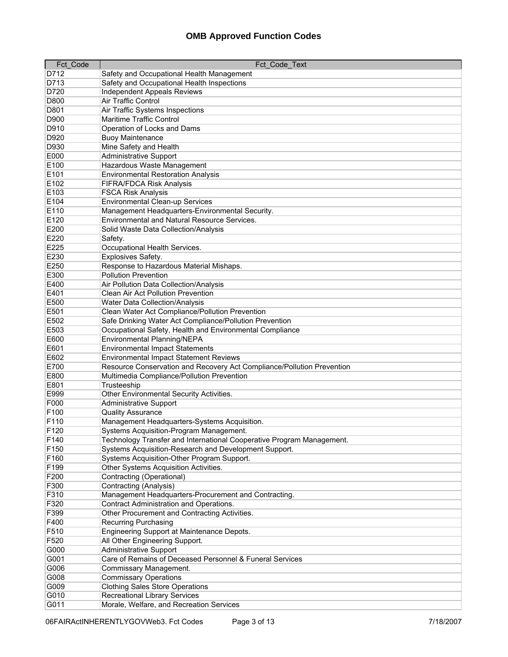| Fct_Code     | Fct_Code_Text                                                          |
|--------------|------------------------------------------------------------------------|
| D712         | Safety and Occupational Health Management                              |
| D713         | Safety and Occupational Health Inspections                             |
| D720         | <b>Independent Appeals Reviews</b>                                     |
| D800         | <b>Air Traffic Control</b>                                             |
| D801         | Air Traffic Systems Inspections                                        |
| D900         | <b>Maritime Traffic Control</b>                                        |
| D910         | Operation of Locks and Dams                                            |
| D920         | <b>Buoy Maintenance</b>                                                |
| D930         | Mine Safety and Health                                                 |
| E000         | <b>Administrative Support</b>                                          |
| E100         | Hazardous Waste Management                                             |
| E101         | <b>Environmental Restoration Analysis</b>                              |
| E102         | <b>FIFRA/FDCA Risk Analysis</b>                                        |
| E103         | <b>FSCA Risk Analysis</b>                                              |
| E104         | Environmental Clean-up Services                                        |
| E110         | Management Headquarters-Environmental Security.                        |
| E120         | Environmental and Natural Resource Services.                           |
| E200         |                                                                        |
|              | Solid Waste Data Collection/Analysis                                   |
| E220<br>E225 | Safety.<br>Occupational Health Services.                               |
|              |                                                                        |
| E230         | Explosives Safety.                                                     |
| E250         | Response to Hazardous Material Mishaps.                                |
| E300         | <b>Pollution Prevention</b>                                            |
| E400         | Air Pollution Data Collection/Analysis                                 |
| E401         | Clean Air Act Pollution Prevention                                     |
| E500         | <b>Water Data Collection/Analysis</b>                                  |
| E501         | Clean Water Act Compliance/Pollution Prevention                        |
| E502         | Safe Drinking Water Act Compliance/Pollution Prevention                |
| E503         | Occupational Safety, Health and Environmental Compliance               |
| E600         | Environmental Planning/NEPA                                            |
| E601         | <b>Environmental Impact Statements</b>                                 |
| E602         | Environmental Impact Statement Reviews                                 |
| E700         | Resource Conservation and Recovery Act Compliance/Pollution Prevention |
| E800         | Multimedia Compliance/Pollution Prevention                             |
| E801         | Trusteeship                                                            |
| E999         | Other Environmental Security Activities.                               |
| F000         | <b>Administrative Support</b>                                          |
| F100         | <b>Quality Assurance</b>                                               |
| F110         | Management Headquarters-Systems Acquisition.                           |
| F120         | Systems Acquisition-Program Management.                                |
| F140         | Technology Transfer and International Cooperative Program Management.  |
| F150         | Systems Acquisition-Research and Development Support.                  |
| F160         | Systems Acquisition-Other Program Support.                             |
| F199         | Other Systems Acquisition Activities.                                  |
| F200         | Contracting (Operational)                                              |
| F300         | Contracting (Analysis)                                                 |
| F310         | Management Headquarters-Procurement and Contracting.                   |
| F320         | Contract Administration and Operations.                                |
| F399         | Other Procurement and Contracting Activities.                          |
| F400         | <b>Recurring Purchasing</b>                                            |
| F510         | Engineering Support at Maintenance Depots.                             |
| F520         | All Other Engineering Support.                                         |
| G000         | Administrative Support                                                 |
| G001         | Care of Remains of Deceased Personnel & Funeral Services               |
| G006         | Commissary Management.                                                 |
| G008         | <b>Commissary Operations</b>                                           |
| G009         | <b>Clothing Sales Store Operations</b>                                 |
| G010         | <b>Recreational Library Services</b>                                   |
| G011         | Morale, Welfare, and Recreation Services                               |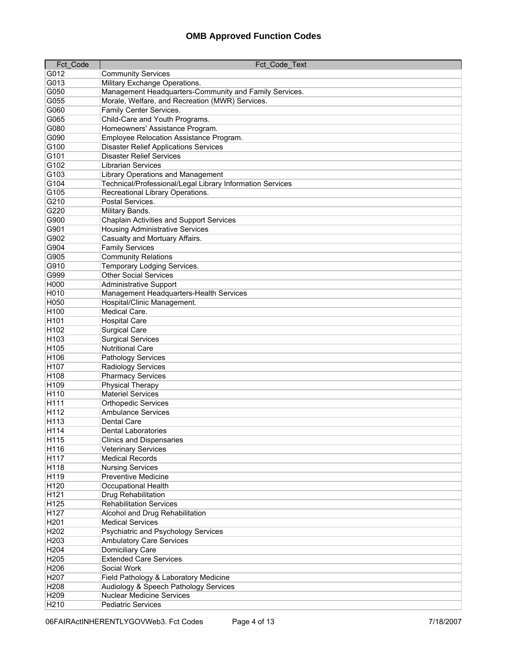| Fct Code         | Fct Code Text                                             |
|------------------|-----------------------------------------------------------|
| G012             | <b>Community Services</b>                                 |
| G013             | Military Exchange Operations.                             |
| G050             | Management Headquarters-Community and Family Services.    |
| G055             | Morale, Welfare, and Recreation (MWR) Services.           |
| G060             | Family Center Services.                                   |
| G065             | Child-Care and Youth Programs.                            |
| G080             | Homeowners' Assistance Program.                           |
| G090             | Employee Relocation Assistance Program.                   |
| G100             | <b>Disaster Relief Applications Services</b>              |
| G101             | <b>Disaster Relief Services</b>                           |
| G102             | <b>Librarian Services</b>                                 |
| G103             | Library Operations and Management                         |
| G104             | Technical/Professional/Legal Library Information Services |
| G105             | Recreational Library Operations.                          |
| G210             | Postal Services.                                          |
| G220             | Military Bands.                                           |
| G900             | Chaplain Activities and Support Services                  |
| G901             | <b>Housing Administrative Services</b>                    |
| G902             | Casualty and Mortuary Affairs.                            |
|                  |                                                           |
| G904<br>G905     | <b>Family Services</b><br><b>Community Relations</b>      |
|                  |                                                           |
| G910             | Temporary Lodging Services.                               |
| G999             | <b>Other Social Services</b>                              |
| H000             | <b>Administrative Support</b>                             |
| H010             | Management Headquarters-Health Services                   |
| H050             | Hospital/Clinic Management.                               |
| H100             | Medical Care.                                             |
| H <sub>101</sub> | <b>Hospital Care</b>                                      |
| H102             | <b>Surgical Care</b>                                      |
| H103             | <b>Surgical Services</b>                                  |
| H105             | <b>Nutritional Care</b>                                   |
| H106             | Pathology Services                                        |
| H107             | Radiology Services                                        |
| H <sub>108</sub> | <b>Pharmacy Services</b>                                  |
| H109             | Physical Therapy                                          |
| H110             | <b>Materiel Services</b>                                  |
| H <sub>111</sub> | <b>Orthopedic Services</b>                                |
| H112             | <b>Ambulance Services</b>                                 |
| H113             | Dental Care                                               |
| H114             | <b>Dental Laboratories</b>                                |
| H115             | <b>Clinics and Dispensaries</b>                           |
| H116             | <b>Veterinary Services</b>                                |
| H117             | <b>Medical Records</b>                                    |
| H118             | <b>Nursing Services</b>                                   |
| H119             | <b>Preventive Medicine</b>                                |
| H120             | Occupational Health                                       |
| H <sub>121</sub> | Drug Rehabilitation                                       |
| H125             | <b>Rehabilitation Services</b>                            |
| H127             | Alcohol and Drug Rehabilitation                           |
| H201             | <b>Medical Services</b>                                   |
| H202             | Psychiatric and Psychology Services                       |
| H203             | <b>Ambulatory Care Services</b>                           |
| H204             | Domiciliary Care                                          |
| H205             | <b>Extended Care Services</b>                             |
| H206             | Social Work                                               |
| H207             | Field Pathology & Laboratory Medicine                     |
| H208             | Audiology & Speech Pathology Services                     |
| H209             | <b>Nuclear Medicine Services</b>                          |
| H210             | <b>Pediatric Services</b>                                 |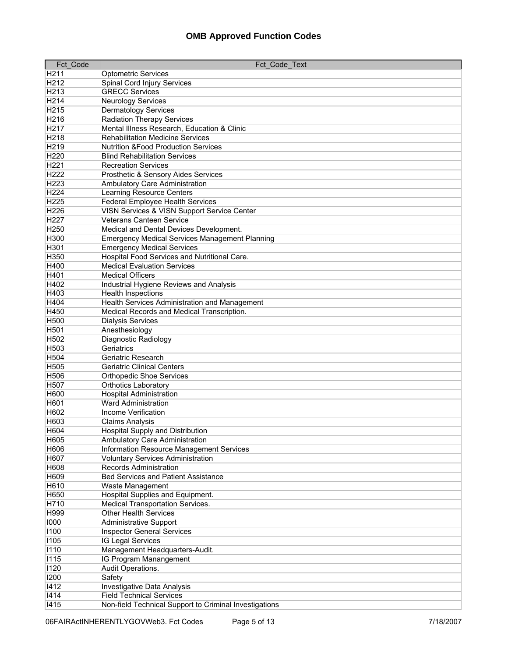| Fct Code         | Fct Code Text                                                      |
|------------------|--------------------------------------------------------------------|
| H <sub>211</sub> | <b>Optometric Services</b>                                         |
| H212             | Spinal Cord Injury Services                                        |
| H213             | <b>GRECC Services</b>                                              |
| H214             | <b>Neurology Services</b>                                          |
| H215             | <b>Dermatology Services</b>                                        |
| H216             | <b>Radiation Therapy Services</b>                                  |
| H217             | Mental Illness Research, Education & Clinic                        |
| H218             | <b>Rehabilitation Medicine Services</b>                            |
| H219             | <b>Nutrition &amp;Food Production Services</b>                     |
| H220             | <b>Blind Rehabilitation Services</b>                               |
| H221             | <b>Recreation Services</b>                                         |
| H222             | Prosthetic & Sensory Aides Services                                |
| H223             | Ambulatory Care Administration                                     |
| H224             | <b>Learning Resource Centers</b>                                   |
| H225             | <b>Federal Employee Health Services</b>                            |
| H226             | VISN Services & VISN Support Service Center                        |
| H227             | <b>Veterans Canteen Service</b>                                    |
| H250             | Medical and Dental Devices Development.                            |
| H300             | <b>Emergency Medical Services Management Planning</b>              |
| H301             | <b>Emergency Medical Services</b>                                  |
| H350             | Hospital Food Services and Nutritional Care.                       |
| H400             | <b>Medical Evaluation Services</b>                                 |
| H401             | <b>Medical Officers</b>                                            |
| H402             | Industrial Hygiene Reviews and Analysis                            |
| H403             | <b>Health Inspections</b>                                          |
| H404             | Health Services Administration and Management                      |
| H450             | Medical Records and Medical Transcription.                         |
| H500             | <b>Dialysis Services</b>                                           |
| H501             | Anesthesiology                                                     |
| H502             | Diagnostic Radiology                                               |
| H503             | Geriatrics                                                         |
| H504             | Geriatric Research                                                 |
| H505             | <b>Geriatric Clinical Centers</b>                                  |
| H506             | <b>Orthopedic Shoe Services</b>                                    |
| H507             | <b>Orthotics Laboratory</b>                                        |
| H600             | <b>Hospital Administration</b>                                     |
| H601             | <b>Ward Administration</b>                                         |
| H602             | Income Verification                                                |
| H603             | <b>Claims Analysis</b>                                             |
| H604             | Hospital Supply and Distribution                                   |
| H605             | Ambulatory Care Administration                                     |
| H606             | Information Resource Management Services                           |
| H607             | <b>Voluntary Services Administration</b>                           |
| H608             | <b>Records Administration</b>                                      |
| H609<br>H610     | <b>Bed Services and Patient Assistance</b>                         |
| H650             | Waste Management<br>Hospital Supplies and Equipment.               |
|                  | <b>Medical Transportation Services.</b>                            |
| H710<br>H999     | <b>Other Health Services</b>                                       |
| 1000             |                                                                    |
| 1100             | <b>Administrative Support</b><br><b>Inspector General Services</b> |
| 1105             | IG Legal Services                                                  |
| 1110             | Management Headquarters-Audit.                                     |
| 1115             | IG Program Manangement                                             |
| 1120             | Audit Operations.                                                  |
| 1200             | Safety                                                             |
| 1412             | Investigative Data Analysis                                        |
| 1414             | <b>Field Technical Services</b>                                    |
| 1415             | Non-field Technical Support to Criminal Investigations             |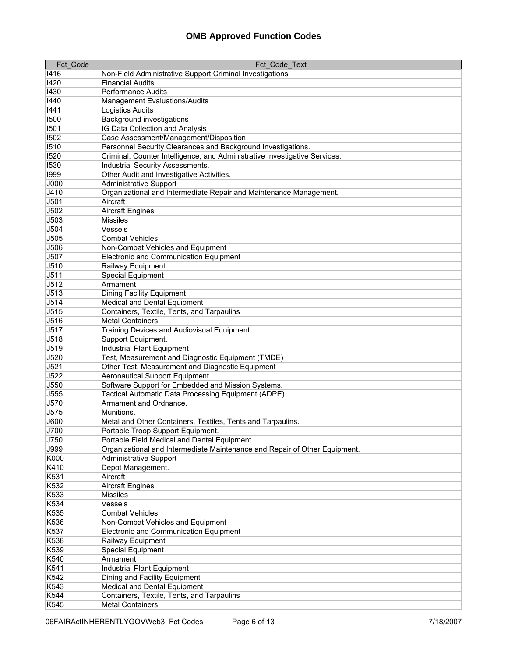| 1416<br>Non-Field Administrative Support Criminal Investigations                                                                           |  |
|--------------------------------------------------------------------------------------------------------------------------------------------|--|
|                                                                                                                                            |  |
| 1420<br><b>Financial Audits</b>                                                                                                            |  |
| 1430<br><b>Performance Audits</b>                                                                                                          |  |
| 1440<br>Management Evaluations/Audits                                                                                                      |  |
| <b>Logistics Audits</b><br>1441                                                                                                            |  |
| <b>Background investigations</b><br>1500                                                                                                   |  |
| IG Data Collection and Analysis<br>1501                                                                                                    |  |
| Case Assessment/Management/Disposition<br>1502                                                                                             |  |
| Personnel Security Clearances and Background Investigations.<br>1510                                                                       |  |
| 1520<br>Criminal, Counter Intelligence, and Administrative Investigative Services.                                                         |  |
| 1530<br>Industrial Security Assessments.                                                                                                   |  |
| 1999<br>Other Audit and Investigative Activities.                                                                                          |  |
| J000<br><b>Administrative Support</b>                                                                                                      |  |
| Organizational and Intermediate Repair and Maintenance Management.<br>J410                                                                 |  |
| J501<br>Aircraft                                                                                                                           |  |
| J502<br><b>Aircraft Engines</b>                                                                                                            |  |
| J503<br><b>Missiles</b>                                                                                                                    |  |
| J504<br>Vessels                                                                                                                            |  |
| J505<br>Combat Vehicles                                                                                                                    |  |
| J506<br>Non-Combat Vehicles and Equipment                                                                                                  |  |
| J507<br><b>Electronic and Communication Equipment</b>                                                                                      |  |
| J510<br>Railway Equipment                                                                                                                  |  |
| J511<br><b>Special Equipment</b>                                                                                                           |  |
| J512<br>Armament                                                                                                                           |  |
| J513<br>Dining Facility Equipment                                                                                                          |  |
| J514<br>Medical and Dental Equipment                                                                                                       |  |
| J515<br>Containers, Textile, Tents, and Tarpaulins                                                                                         |  |
| J516<br><b>Metal Containers</b>                                                                                                            |  |
| J517<br>Training Devices and Audiovisual Equipment                                                                                         |  |
| J518<br>Support Equipment.                                                                                                                 |  |
| <b>Industrial Plant Equipment</b><br>J519                                                                                                  |  |
| J520<br>Test, Measurement and Diagnostic Equipment (TMDE)                                                                                  |  |
| J521<br>Other Test, Measurement and Diagnostic Equipment                                                                                   |  |
| J522<br><b>Aeronautical Support Equipment</b>                                                                                              |  |
| J550<br>Software Support for Embedded and Mission Systems.                                                                                 |  |
| Tactical Automatic Data Processing Equipment (ADPE).<br>J555                                                                               |  |
| J570<br>Armament and Ordnance.                                                                                                             |  |
| J575<br>Munitions.                                                                                                                         |  |
| J600<br>Metal and Other Containers, Textiles, Tents and Tarpaulins.                                                                        |  |
| J700<br>Portable Troop Support Equipment.                                                                                                  |  |
| Portable Field Medical and Dental Equipment.<br>J750<br>Organizational and Intermediate Maintenance and Repair of Other Equipment.<br>J999 |  |
| <b>Administrative Support</b><br>K000                                                                                                      |  |
| K410<br>Depot Management.                                                                                                                  |  |
| K531<br>Aircraft                                                                                                                           |  |
| K532<br><b>Aircraft Engines</b>                                                                                                            |  |
| K533<br><b>Missiles</b>                                                                                                                    |  |
| K534<br>Vessels                                                                                                                            |  |
| K535<br><b>Combat Vehicles</b>                                                                                                             |  |
| K536<br>Non-Combat Vehicles and Equipment                                                                                                  |  |
| K537<br>Electronic and Communication Equipment                                                                                             |  |
| K538<br>Railway Equipment                                                                                                                  |  |
| K539<br>Special Equipment                                                                                                                  |  |
| K540<br>Armament                                                                                                                           |  |
| K541<br><b>Industrial Plant Equipment</b>                                                                                                  |  |
| K542<br>Dining and Facility Equipment                                                                                                      |  |
| K543<br>Medical and Dental Equipment                                                                                                       |  |
| K544<br>Containers, Textile, Tents, and Tarpaulins                                                                                         |  |
| <b>Metal Containers</b><br>K545                                                                                                            |  |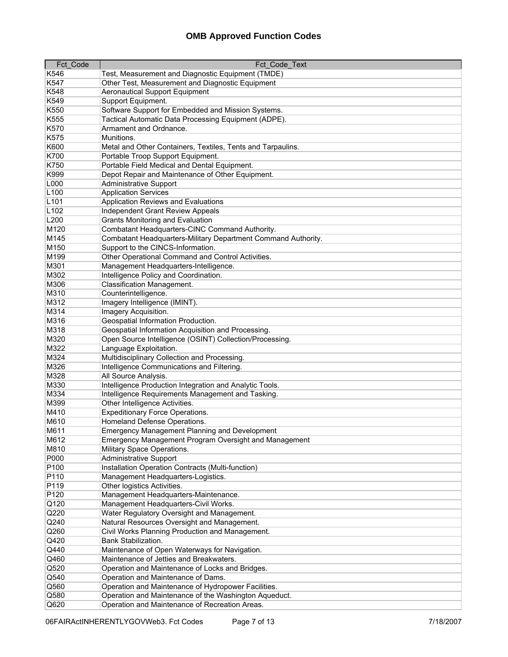| Fct Code         | Fct Code Text                                                                     |
|------------------|-----------------------------------------------------------------------------------|
| K546             | Test, Measurement and Diagnostic Equipment (TMDE)                                 |
| K547             | Other Test, Measurement and Diagnostic Equipment                                  |
| K548             | <b>Aeronautical Support Equipment</b>                                             |
| K549             | Support Equipment.                                                                |
| K550             | Software Support for Embedded and Mission Systems.                                |
| K555             | Tactical Automatic Data Processing Equipment (ADPE).                              |
| K570             | Armament and Ordnance.                                                            |
| K575             | Munitions.                                                                        |
| K600             | Metal and Other Containers, Textiles, Tents and Tarpaulins.                       |
| K700             | Portable Troop Support Equipment.                                                 |
| K750             | Portable Field Medical and Dental Equipment.                                      |
| K999             | Depot Repair and Maintenance of Other Equipment.                                  |
| L000             | <b>Administrative Support</b>                                                     |
| L <sub>100</sub> | <b>Application Services</b>                                                       |
| L <sub>101</sub> | Application Reviews and Evaluations                                               |
| L <sub>102</sub> | <b>Independent Grant Review Appeals</b>                                           |
| L200             | <b>Grants Monitoring and Evaluation</b>                                           |
| M120             | Combatant Headquarters-CINC Command Authority.                                    |
| M145             | Combatant Headquarters-Military Department Command Authority.                     |
| M150             | Support to the CINCS-Information.                                                 |
|                  | Other Operational Command and Control Activities.                                 |
| M199<br>M301     |                                                                                   |
|                  | Management Headquarters-Intelligence.                                             |
| M302             | Intelligence Policy and Coordination.<br><b>Classification Management.</b>        |
| M306             |                                                                                   |
| M310             | Counterintelligence.                                                              |
| M312             | Imagery Intelligence (IMINT).                                                     |
| M314<br>M316     | Imagery Acquisition.                                                              |
| M318             | Geospatial Information Production.                                                |
|                  | Geospatial Information Acquisition and Processing.                                |
| M320<br>M322     | Open Source Intelligence (OSINT) Collection/Processing.<br>Language Exploitation. |
| M324             | Multidisciplinary Collection and Processing.                                      |
| M326             | Intelligence Communications and Filtering.                                        |
| M328             | All Source Analysis.                                                              |
| M330             | Intelligence Production Integration and Analytic Tools.                           |
| M334             | Intelligence Requirements Management and Tasking.                                 |
| M399             | Other Intelligence Activities.                                                    |
| M410             | <b>Expeditionary Force Operations.</b>                                            |
| M610             | Homeland Defense Operations.                                                      |
| M611             | <b>Emergency Management Planning and Development</b>                              |
| M612             | Emergency Management Program Oversight and Management                             |
| M810             | Military Space Operations.                                                        |
| P000             | <b>Administrative Support</b>                                                     |
| P100             | Installation Operation Contracts (Multi-function)                                 |
| P110             | Management Headquarters-Logistics.                                                |
| P119             | Other logistics Activities.                                                       |
| P120             | Management Headquarters-Maintenance.                                              |
| Q120             | Management Headquarters-Civil Works.                                              |
| Q220             | Water Regulatory Oversight and Management.                                        |
| Q240             | Natural Resources Oversight and Management.                                       |
| Q260             | Civil Works Planning Production and Management.                                   |
| Q420             | Bank Stabilization.                                                               |
| Q440             | Maintenance of Open Waterways for Navigation.                                     |
| Q460             | Maintenance of Jetties and Breakwaters.                                           |
| Q520             | Operation and Maintenance of Locks and Bridges.                                   |
| Q540             | Operation and Maintenance of Dams.                                                |
| Q560             | Operation and Maintenance of Hydropower Facilities.                               |
| Q580             | Operation and Maintenance of the Washington Aqueduct.                             |
| Q620             | Operation and Maintenance of Recreation Areas.                                    |
|                  |                                                                                   |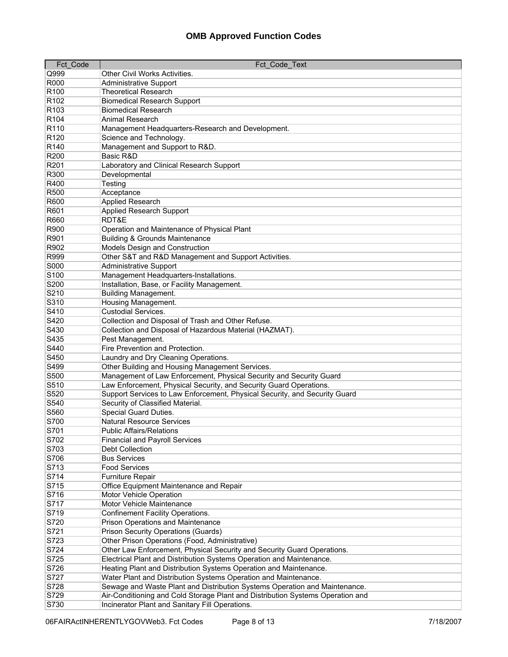| Fct Code         | Fct Code Text                                                                  |
|------------------|--------------------------------------------------------------------------------|
| Q999             | Other Civil Works Activities.                                                  |
| R000             | <b>Administrative Support</b>                                                  |
| R <sub>100</sub> | <b>Theoretical Research</b>                                                    |
| R <sub>102</sub> | <b>Biomedical Research Support</b>                                             |
| R <sub>103</sub> | <b>Biomedical Research</b>                                                     |
| R <sub>104</sub> | <b>Animal Research</b>                                                         |
| R110             | Management Headquarters-Research and Development.                              |
| R120             | Science and Technology.                                                        |
| R <sub>140</sub> | Management and Support to R&D.                                                 |
| R200             | Basic R&D                                                                      |
| R201             | Laboratory and Clinical Research Support                                       |
| R300             | Developmental                                                                  |
| R400             | Testing                                                                        |
| R500             | Acceptance                                                                     |
| R600             | <b>Applied Research</b>                                                        |
| R601             | Applied Research Support                                                       |
| R660             | RDT&E                                                                          |
| R900             | Operation and Maintenance of Physical Plant                                    |
| R901             | <b>Building &amp; Grounds Maintenance</b>                                      |
| R902             | Models Design and Construction                                                 |
| R999             | Other S&T and R&D Management and Support Activities.                           |
| S000             | <b>Administrative Support</b>                                                  |
| S <sub>100</sub> | Management Headquarters-Installations.                                         |
| S200             | Installation, Base, or Facility Management.                                    |
| S210             | <b>Building Management.</b>                                                    |
| S310             | Housing Management.                                                            |
| S410             | <b>Custodial Services.</b>                                                     |
| S420             | Collection and Disposal of Trash and Other Refuse.                             |
| S430             | Collection and Disposal of Hazardous Material (HAZMAT).                        |
| S435             | Pest Management.                                                               |
| S440             | Fire Prevention and Protection.                                                |
| S450             | Laundry and Dry Cleaning Operations.                                           |
| S499             | Other Building and Housing Management Services.                                |
| S500             | Management of Law Enforcement, Physical Security and Security Guard            |
| S510             | Law Enforcement, Physical Security, and Security Guard Operations.             |
| S520             | Support Services to Law Enforcement, Physical Security, and Security Guard     |
| S540             | Security of Classified Material.                                               |
| S560             | Special Guard Duties.                                                          |
| S700             | <b>Natural Resource Services</b>                                               |
| S701             | <b>Public Affairs/Relations</b>                                                |
| S702             | <b>Financial and Payroll Services</b>                                          |
| S703             | Debt Collection                                                                |
| S706             | <b>Bus Services</b>                                                            |
| S713             | <b>Food Services</b>                                                           |
| S714             | Furniture Repair                                                               |
| S715             | Office Equipment Maintenance and Repair                                        |
| S716             | Motor Vehicle Operation                                                        |
| S717             | Motor Vehicle Maintenance                                                      |
| S719             | Confinement Facility Operations.                                               |
| S720             | <b>Prison Operations and Maintenance</b>                                       |
| S721             | <b>Prison Security Operations (Guards)</b>                                     |
| S723             | Other Prison Operations (Food, Administrative)                                 |
| S724             | Other Law Enforcement, Physical Security and Security Guard Operations.        |
| S725             | Electrical Plant and Distribution Systems Operation and Maintenance.           |
| S726             | Heating Plant and Distribution Systems Operation and Maintenance.              |
| S727             | Water Plant and Distribution Systems Operation and Maintenance.                |
| S728             | Sewage and Waste Plant and Distribution Systems Operation and Maintenance.     |
| S729             | Air-Conditioning and Cold Storage Plant and Distribution Systems Operation and |
| S730             | Incinerator Plant and Sanitary Fill Operations.                                |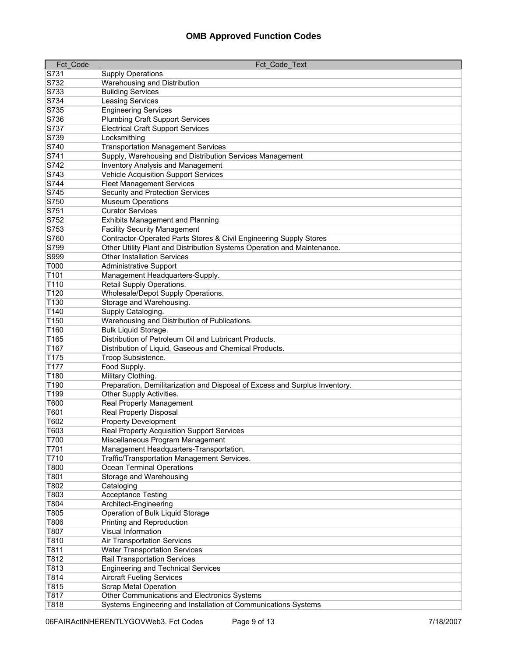| <b>Fct Code</b>  | Fct Code Text                                                               |
|------------------|-----------------------------------------------------------------------------|
| S731             | <b>Supply Operations</b>                                                    |
| S732             | Warehousing and Distribution                                                |
| S733             | <b>Building Services</b>                                                    |
| S734             | Leasing Services                                                            |
| S735             | <b>Engineering Services</b>                                                 |
| S736             | <b>Plumbing Craft Support Services</b>                                      |
| S737             | <b>Electrical Craft Support Services</b>                                    |
| S739             | Locksmithing                                                                |
| S740             | <b>Transportation Management Services</b>                                   |
| S741             | Supply, Warehousing and Distribution Services Management                    |
| S742             | <b>Inventory Analysis and Management</b>                                    |
| S743             | Vehicle Acquisition Support Services                                        |
| S744             | <b>Fleet Management Services</b>                                            |
| S745             | Security and Protection Services                                            |
| S750             | <b>Museum Operations</b>                                                    |
| S751             | <b>Curator Services</b>                                                     |
| S752             | <b>Exhibits Management and Planning</b>                                     |
| S753             | <b>Facility Security Management</b>                                         |
| S760             | Contractor-Operated Parts Stores & Civil Engineering Supply Stores          |
| S799             | Other Utility Plant and Distribution Systems Operation and Maintenance.     |
| S999             | <b>Other Installation Services</b>                                          |
| T000             | <b>Administrative Support</b>                                               |
| T101             | Management Headquarters-Supply.                                             |
| T110             | Retail Supply Operations.                                                   |
| T120             | Wholesale/Depot Supply Operations.                                          |
| T130             | Storage and Warehousing.                                                    |
| T140             | Supply Cataloging.                                                          |
| T150             | Warehousing and Distribution of Publications.                               |
| T160             | Bulk Liquid Storage.                                                        |
| T165             | Distribution of Petroleum Oil and Lubricant Products.                       |
| T167             | Distribution of Liquid, Gaseous and Chemical Products.                      |
| T175             | Troop Subsistence.                                                          |
| T <sub>177</sub> | Food Supply.                                                                |
| T180<br>T190     | Military Clothing.                                                          |
|                  | Preparation, Demilitarization and Disposal of Excess and Surplus Inventory. |
| T199<br>T600     | Other Supply Activities.                                                    |
| T601             | Real Property Management<br>Real Property Disposal                          |
| T602             | <b>Property Development</b>                                                 |
| T603             | <b>Real Property Acquisition Support Services</b>                           |
| T700             | Miscellaneous Program Management                                            |
| T701             | Management Headquarters-Transportation.                                     |
| T710             | Traffic/Transportation Management Services.                                 |
| T800             | Ocean Terminal Operations                                                   |
| T801             | Storage and Warehousing                                                     |
| T802             | Cataloging                                                                  |
| T803             | <b>Acceptance Testing</b>                                                   |
| T804             | Architect-Engineering                                                       |
| T805             | Operation of Bulk Liquid Storage                                            |
| T806             | Printing and Reproduction                                                   |
| T807             | Visual Information                                                          |
| T810             | Air Transportation Services                                                 |
| T811             | <b>Water Transportation Services</b>                                        |
| T812             | Rail Transportation Services                                                |
| T813             | <b>Engineering and Technical Services</b>                                   |
| T814             | <b>Aircraft Fueling Services</b>                                            |
| T815             | <b>Scrap Metal Operation</b>                                                |
| T817             | Other Communications and Electronics Systems                                |
| T818             | Systems Engineering and Installation of Communications Systems              |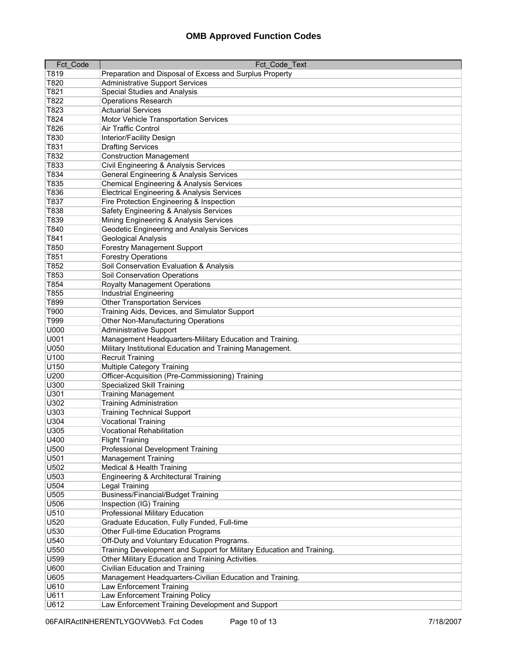| Fct Code | Fct Code Text                                                         |
|----------|-----------------------------------------------------------------------|
| T819     | Preparation and Disposal of Excess and Surplus Property               |
| T820     | <b>Administrative Support Services</b>                                |
| T821     | <b>Special Studies and Analysis</b>                                   |
| T822     | <b>Operations Research</b>                                            |
| T823     | <b>Actuarial Services</b>                                             |
| T824     | Motor Vehicle Transportation Services                                 |
| T826     | Air Traffic Control                                                   |
| T830     | Interior/Facility Design                                              |
| T831     | <b>Drafting Services</b>                                              |
| T832     |                                                                       |
|          | <b>Construction Management</b>                                        |
| T833     | Civil Engineering & Analysis Services                                 |
| T834     | General Engineering & Analysis Services                               |
| T835     | Chemical Engineering & Analysis Services                              |
| T836     | <b>Electrical Engineering &amp; Analysis Services</b>                 |
| T837     | Fire Protection Engineering & Inspection                              |
| T838     | Safety Engineering & Analysis Services                                |
| T839     | Mining Engineering & Analysis Services                                |
| T840     | Geodetic Engineering and Analysis Services                            |
| T841     | Geological Analysis                                                   |
| T850     | <b>Forestry Management Support</b>                                    |
| T851     | <b>Forestry Operations</b>                                            |
| T852     | Soil Conservation Evaluation & Analysis                               |
| T853     | Soil Conservation Operations                                          |
| T854     | <b>Royalty Management Operations</b>                                  |
| T855     | <b>Industrial Engineering</b>                                         |
| T899     | <b>Other Transportation Services</b>                                  |
| T900     | Training Aids, Devices, and Simulator Support                         |
| T999     | Other Non-Manufacturing Operations                                    |
| U000     | <b>Administrative Support</b>                                         |
| U001     | Management Headquarters-Military Education and Training.              |
| U050     | Military Institutional Education and Training Management.             |
| U100     | <b>Recruit Training</b>                                               |
| U150     | Multiple Category Training                                            |
| U200     | Officer-Acquisition (Pre-Commissioning) Training                      |
| U300     | Specialized Skill Training                                            |
| U301     | <b>Training Management</b>                                            |
| U302     | <b>Training Administration</b>                                        |
| U303     | <b>Training Technical Support</b>                                     |
| U304     | <b>Vocational Training</b>                                            |
| U305     | <b>Vocational Rehabilitation</b>                                      |
| U400     | <b>Flight Training</b>                                                |
| U500     | <b>Professional Development Training</b>                              |
| U501     | <b>Management Training</b>                                            |
| U502     | <b>Medical &amp; Health Training</b>                                  |
| U503     | Engineering & Architectural Training                                  |
| U504     | <b>Legal Training</b>                                                 |
| U505     | <b>Business/Financial/Budget Training</b>                             |
| U506     | Inspection (IG) Training                                              |
|          |                                                                       |
| U510     | Professional Military Education                                       |
| U520     | Graduate Education, Fully Funded, Full-time                           |
| U530     | <b>Other Full-time Education Programs</b>                             |
| U540     | Off-Duty and Voluntary Education Programs.                            |
| U550     | Training Development and Support for Military Education and Training. |
| U599     | Other Military Education and Training Activities.                     |
| U600     | Civilian Education and Training                                       |
| U605     | Management Headquarters-Civilian Education and Training.              |
| U610     | Law Enforcement Training                                              |
| U611     | Law Enforcement Training Policy                                       |
| U612     | Law Enforcement Training Development and Support                      |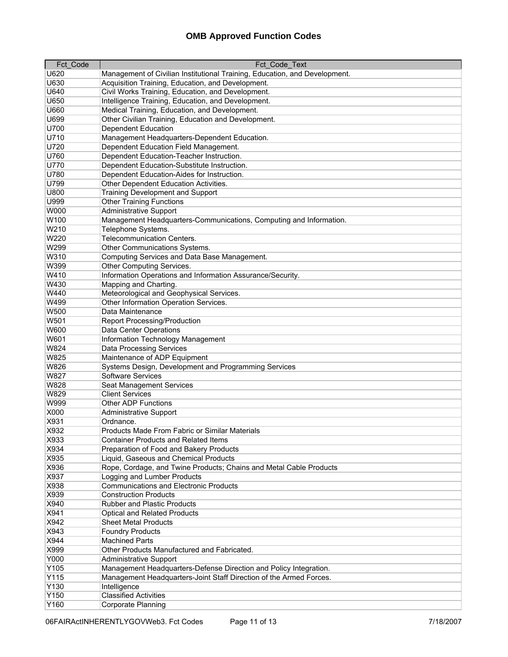| Fct Code | Fct_Code_Text                                                              |
|----------|----------------------------------------------------------------------------|
| U620     | Management of Civilian Institutional Training, Education, and Development. |
| U630     | Acquisition Training, Education, and Development.                          |
| U640     | Civil Works Training, Education, and Development.                          |
| U650     | Intelligence Training, Education, and Development.                         |
| U660     | Medical Training, Education, and Development.                              |
| U699     | Other Civilian Training, Education and Development.                        |
| U700     | <b>Dependent Education</b>                                                 |
| U710     | Management Headquarters-Dependent Education.                               |
| U720     | Dependent Education Field Management.                                      |
| U760     | Dependent Education-Teacher Instruction.                                   |
| U770     | Dependent Education-Substitute Instruction.                                |
| U780     | Dependent Education-Aides for Instruction.                                 |
| U799     | Other Dependent Education Activities.                                      |
| U800     | <b>Training Development and Support</b>                                    |
| U999     | <b>Other Training Functions</b>                                            |
| W000     |                                                                            |
| W100     | <b>Administrative Support</b>                                              |
|          | Management Headquarters-Communications, Computing and Information.         |
| W210     | Telephone Systems.                                                         |
| W220     | <b>Telecommunication Centers.</b>                                          |
| W299     | Other Communications Systems.                                              |
| W310     | Computing Services and Data Base Management.                               |
| W399     | Other Computing Services.                                                  |
| W410     | Information Operations and Information Assurance/Security.                 |
| W430     | Mapping and Charting.                                                      |
| W440     | Meteorological and Geophysical Services.                                   |
| W499     | Other Information Operation Services.                                      |
| W500     | Data Maintenance                                                           |
| W501     | <b>Report Processing/Production</b>                                        |
| W600     | <b>Data Center Operations</b>                                              |
| W601     | Information Technology Management                                          |
| W824     | <b>Data Processing Services</b>                                            |
| W825     | Maintenance of ADP Equipment                                               |
| W826     | Systems Design, Development and Programming Services                       |
| W827     | <b>Software Services</b>                                                   |
| W828     | Seat Management Services                                                   |
| W829     | <b>Client Services</b>                                                     |
| W999     | <b>Other ADP Functions</b>                                                 |
| X000     | <b>Administrative Support</b>                                              |
| X931     | Ordnance.                                                                  |
| X932     | Products Made From Fabric or Similar Materials                             |
| X933     | <b>Container Products and Related Items</b>                                |
| X934     | Preparation of Food and Bakery Products                                    |
| X935     | Liquid, Gaseous and Chemical Products                                      |
| X936     | Rope, Cordage, and Twine Products; Chains and Metal Cable Products         |
| X937     | Logging and Lumber Products                                                |
| X938     | <b>Communications and Electronic Products</b>                              |
| X939     | <b>Construction Products</b>                                               |
| X940     | <b>Rubber and Plastic Products</b>                                         |
| X941     | <b>Optical and Related Products</b>                                        |
| X942     | <b>Sheet Metal Products</b>                                                |
| X943     | <b>Foundry Products</b>                                                    |
| X944     | <b>Machined Parts</b>                                                      |
| X999     | Other Products Manufactured and Fabricated.                                |
| Y000     | <b>Administrative Support</b>                                              |
| Y105     | Management Headquarters-Defense Direction and Policy Integration.          |
| Y115     | Management Headquarters-Joint Staff Direction of the Armed Forces.         |
| Y130     | Intelligence                                                               |
| Y150     | <b>Classified Activities</b>                                               |
| Y160     | Corporate Planning                                                         |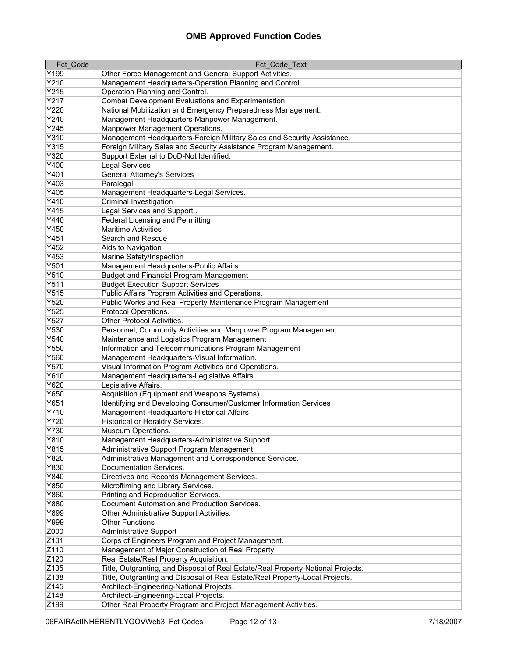| <b>Fct Code</b> | Fct Code Text                                                                                         |
|-----------------|-------------------------------------------------------------------------------------------------------|
| Y199            | Other Force Management and General Support Activities.                                                |
| Y210            | Management Headquarters-Operation Planning and Control                                                |
| Y215            | Operation Planning and Control.                                                                       |
| Y217            | Combat Development Evaluations and Experimentation.                                                   |
| Y220            | National Mobilization and Emergency Preparedness Management.                                          |
| Y240            | Management Headquarters-Manpower Management.                                                          |
| Y245            | Manpower Management Operations.                                                                       |
| Y310            | Management Headquarters-Foreign Military Sales and Security Assistance.                               |
| Y315            | Foreign Military Sales and Security Assistance Program Management.                                    |
| Y320            | Support External to DoD-Not Identified.                                                               |
| Y400            | <b>Legal Services</b>                                                                                 |
| Y401            | <b>General Attorney's Services</b>                                                                    |
| Y403            | Paralegal                                                                                             |
| Y405            | Management Headquarters-Legal Services.                                                               |
| Y410            | <b>Criminal Investigation</b>                                                                         |
| Y415            | Legal Services and Support                                                                            |
| Y440            | <b>Federal Licensing and Permitting</b>                                                               |
| Y450            | <b>Maritime Activities</b>                                                                            |
| Y451            | Search and Rescue                                                                                     |
| Y452            | Aids to Navigation                                                                                    |
| Y453            |                                                                                                       |
| Y501            | Marine Safety/Inspection                                                                              |
|                 | Management Headquarters-Public Affairs.                                                               |
| Y510            | <b>Budget and Financial Program Management</b>                                                        |
| Y511            | <b>Budget Execution Support Services</b>                                                              |
| Y515            | Public Affairs Program Activities and Operations.                                                     |
| Y520            | Public Works and Real Property Maintenance Program Management                                         |
| Y525            | Protocol Operations.                                                                                  |
| Y527<br>Y530    | Other Protocol Activities.                                                                            |
| Y540            | Personnel, Community Activities and Manpower Program Management                                       |
| Y550            | Maintenance and Logistics Program Management<br>Information and Telecommunications Program Management |
| Y560            | Management Headquarters-Visual Information.                                                           |
| Y570            | Visual Information Program Activities and Operations.                                                 |
| Y610            | Management Headquarters-Legislative Affairs.                                                          |
| Y620            | Legislative Affairs.                                                                                  |
| Y650            | Acquisition (Equipment and Weapons Systems)                                                           |
| Y651            | Identifying and Developing Consumer/Customer Information Services                                     |
| Y710            | Management Headquarters-Historical Affairs                                                            |
| Y720            | Historical or Heraldry Services.                                                                      |
| Y730            | Museum Operations.                                                                                    |
| Y810            | Management Headquarters-Administrative Support.                                                       |
| Y815            | Administrative Support Program Management.                                                            |
| Y820            | Administrative Management and Correspondence Services.                                                |
| Y830            | Documentation Services.                                                                               |
| Y840            | Directives and Records Management Services.                                                           |
| Y850            | Microfilming and Library Services.                                                                    |
| Y860            | Printing and Reproduction Services.                                                                   |
| Y880            | Document Automation and Production Services.                                                          |
| Y899            | Other Administrative Support Activities.                                                              |
|                 |                                                                                                       |
| Y999<br>Z000    | <b>Other Functions</b><br>Administrative Support                                                      |
| Z101            | Corps of Engineers Program and Project Management.                                                    |
| Z110            | Management of Major Construction of Real Property.                                                    |
| Z120            |                                                                                                       |
|                 | Real Estate/Real Property Acquisition.                                                                |
| Z135            | Title, Outgranting, and Disposal of Real Estate/Real Property-National Projects.                      |
| Z138            | Title, Outgranting and Disposal of Real Estate/Real Property-Local Projects.                          |
| Z145<br>Z148    | Architect-Engineering-National Projects.<br>Architect-Engineering-Local Projects.                     |
| Z199            | Other Real Property Program and Project Management Activities.                                        |
|                 |                                                                                                       |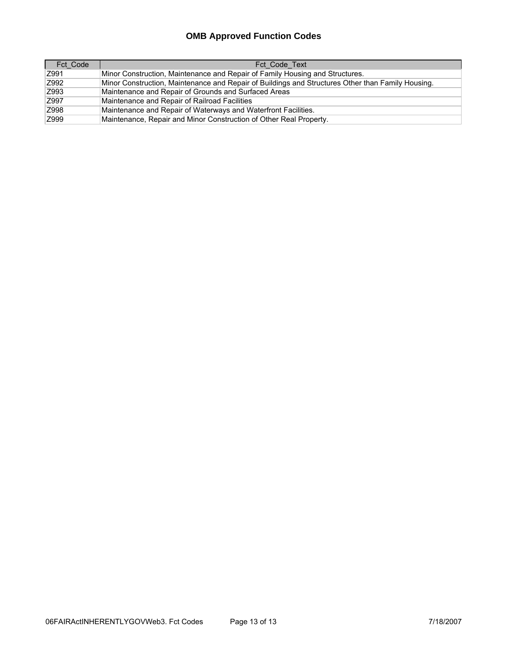| Fct Code | Fct Code Text                                                                                     |
|----------|---------------------------------------------------------------------------------------------------|
| Z991     | Minor Construction, Maintenance and Repair of Family Housing and Structures.                      |
| Z992     | Minor Construction, Maintenance and Repair of Buildings and Structures Other than Family Housing. |
| Z993     | Maintenance and Repair of Grounds and Surfaced Areas                                              |
| Z997     | Maintenance and Repair of Railroad Facilities                                                     |
| Z998     | Maintenance and Repair of Waterways and Waterfront Facilities.                                    |
| Z999     | Maintenance, Repair and Minor Construction of Other Real Property.                                |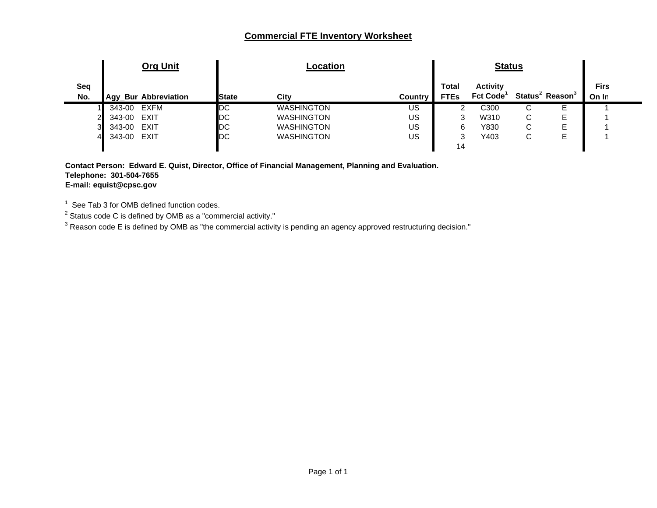#### **Commercial FTE Inventory Worksheet**

|        | <b>Org Unit</b> |                              | Location          |         |                             |                                    |             |               |                                         |
|--------|-----------------|------------------------------|-------------------|---------|-----------------------------|------------------------------------|-------------|---------------|-----------------------------------------|
|        |                 | <b>State</b>                 | City              | Country | <b>Total</b><br><b>FTEs</b> | <b>Activity</b><br><b>Fct Code</b> |             |               | <b>Firs</b><br>On In                    |
| 343-00 |                 | DC                           | <b>WASHINGTON</b> | US.     |                             | C300                               | ⌒<br>◡      |               |                                         |
| 343-00 | EXIT            | DC                           | <b>WASHINGTON</b> | US      | າ                           | W310                               | C           | Е             |                                         |
| 343-00 | EXIT            | DC                           | <b>WASHINGTON</b> | US      | 6                           | Y830                               | $\sim$<br>◡ | Е             |                                         |
| 343-00 | EXIT            | DC                           | <b>WASHINGTON</b> | US      | ົ<br>w                      | Y403                               | ⌒<br>◡      | Е             |                                         |
| 3<br>4 |                 | Agy_Bur Abbreviation<br>EXFM |                   |         |                             | 14                                 |             | <b>Status</b> | Status <sup>2</sup> Reason <sup>3</sup> |

**Contact Person: Edward E. Quist, Director, Office of Financial Management, Planning and Evaluation. Telephone: 301-504-7655 E-mail: equist@cpsc.gov**

 $^{\rm 1} \,$  See Tab 3 for OMB defined function codes.<br><sup>2</sup> Status code C is defined by OMB as a "commercial activity."

 $^3$  Reason code E is defined by OMB as "the commercial activity is pending an agency approved restructuring decision."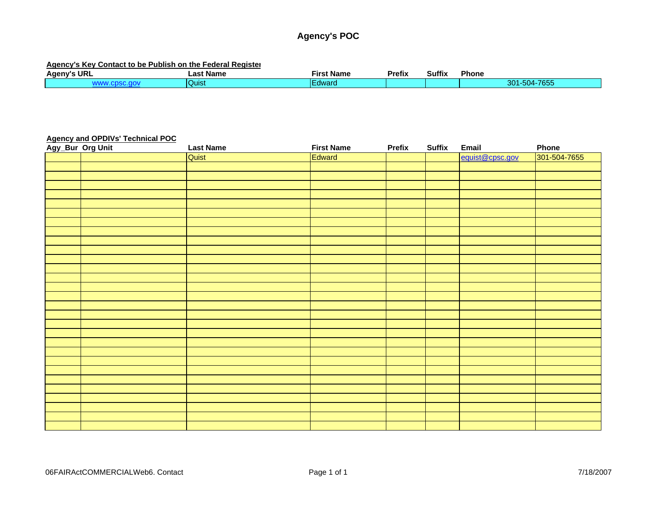### **Agency's POC**

#### **Agency's Key Contact to be Publish on the Federal Register**

| URI<br><b>Ageny's</b> | ∟ast<br>: Name | --<br>Name<br>Firs. | Pretix | <b>Suffix</b> | Phone                                                        |
|-----------------------|----------------|---------------------|--------|---------------|--------------------------------------------------------------|
|                       | Quist          | <b>Mode</b>         |        |               | $-7655$<br>$-0.4$<br>201<br>-004-<br>.<br>$\sim$ 11 1 $\sim$ |

#### **Agency and OPDIVs' Technical POC**

| Agy_Bur_Org Unit | <b>Last Name</b> | <b>First Name</b> | Prefix | <b>Suffix</b> | Email           | Phone        |
|------------------|------------------|-------------------|--------|---------------|-----------------|--------------|
|                  | Quist            | Edward            |        |               | equist@cpsc.gov | 301-504-7655 |
|                  |                  |                   |        |               |                 |              |
|                  |                  |                   |        |               |                 |              |
|                  |                  |                   |        |               |                 |              |
|                  |                  |                   |        |               |                 |              |
|                  |                  |                   |        |               |                 |              |
|                  |                  |                   |        |               |                 |              |
|                  |                  |                   |        |               |                 |              |
|                  |                  |                   |        |               |                 |              |
|                  |                  |                   |        |               |                 |              |
|                  |                  |                   |        |               |                 |              |
|                  |                  |                   |        |               |                 |              |
|                  |                  |                   |        |               |                 |              |
|                  |                  |                   |        |               |                 |              |
|                  |                  |                   |        |               |                 |              |
|                  |                  |                   |        |               |                 |              |
|                  |                  |                   |        |               |                 |              |
|                  |                  |                   |        |               |                 |              |
|                  |                  |                   |        |               |                 |              |
|                  |                  |                   |        |               |                 |              |
|                  |                  |                   |        |               |                 |              |
|                  |                  |                   |        |               |                 |              |
|                  |                  |                   |        |               |                 |              |
|                  |                  |                   |        |               |                 |              |
|                  |                  |                   |        |               |                 |              |
|                  |                  |                   |        |               |                 |              |
|                  |                  |                   |        |               |                 |              |
|                  |                  |                   |        |               |                 |              |
|                  |                  |                   |        |               |                 |              |
|                  |                  |                   |        |               |                 |              |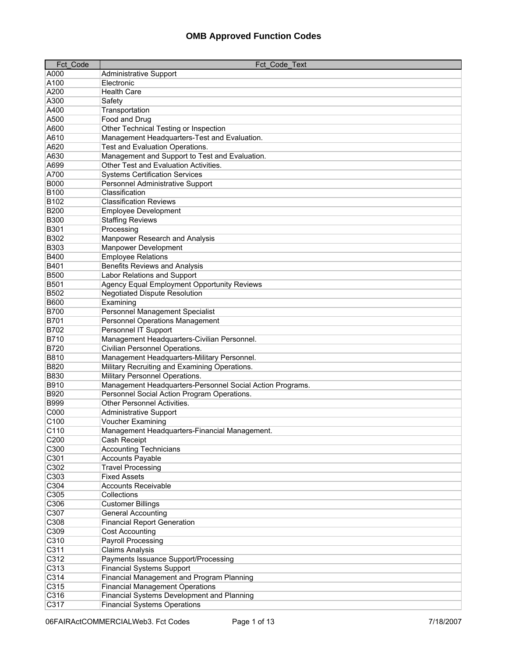| <b>Fct Code</b>          | Fct Code Text                                                      |
|--------------------------|--------------------------------------------------------------------|
| A000                     | Administrative Support                                             |
| A100                     | Electronic                                                         |
| A200                     | <b>Health Care</b>                                                 |
| A300                     | Safety                                                             |
| A400                     | Transportation                                                     |
| A500                     | Food and Drug                                                      |
| A600                     | Other Technical Testing or Inspection                              |
| A610                     | Management Headquarters-Test and Evaluation.                       |
| A620                     | Test and Evaluation Operations.                                    |
| A630                     | Management and Support to Test and Evaluation.                     |
| A699                     | Other Test and Evaluation Activities.                              |
| A700                     | <b>Systems Certification Services</b>                              |
| <b>B000</b>              | Personnel Administrative Support                                   |
| <b>B100</b>              | Classification                                                     |
| B102                     | <b>Classification Reviews</b>                                      |
| <b>B200</b>              | <b>Employee Development</b>                                        |
| <b>B300</b>              | <b>Staffing Reviews</b>                                            |
| <b>B301</b>              | Processing                                                         |
| <b>B302</b>              | Manpower Research and Analysis                                     |
| <b>B303</b>              | Manpower Development                                               |
| <b>B400</b>              | <b>Employee Relations</b>                                          |
| B401                     | <b>Benefits Reviews and Analysis</b>                               |
| <b>B500</b>              | Labor Relations and Support                                        |
| <b>B501</b>              | Agency Equal Employment Opportunity Reviews                        |
| <b>B502</b>              | <b>Negotiated Dispute Resolution</b>                               |
| <b>B600</b>              | Examining                                                          |
| <b>B700</b>              | Personnel Management Specialist                                    |
| <b>B701</b>              | Personnel Operations Management                                    |
| <b>B702</b>              | Personnel IT Support                                               |
| B710                     | Management Headquarters-Civilian Personnel.                        |
| <b>B720</b>              | Civilian Personnel Operations.                                     |
| <b>B810</b>              | Management Headquarters-Military Personnel.                        |
| <b>B820</b>              | Military Recruiting and Examining Operations.                      |
| <b>B830</b>              | Military Personnel Operations.                                     |
| B910                     | Management Headquarters-Personnel Social Action Programs.          |
| B920                     | Personnel Social Action Program Operations.                        |
| <b>B999</b>              | <b>Other Personnel Activities.</b>                                 |
| C000                     | <b>Administrative Support</b>                                      |
| C <sub>100</sub><br>C110 | Voucher Examining<br>Management Headquarters-Financial Management. |
| C200                     | Cash Receipt                                                       |
| C300                     | <b>Accounting Technicians</b>                                      |
| C301                     | <b>Accounts Payable</b>                                            |
| C302                     | <b>Travel Processing</b>                                           |
| C303                     | <b>Fixed Assets</b>                                                |
| C304                     | <b>Accounts Receivable</b>                                         |
| C305                     | Collections                                                        |
| C306                     | <b>Customer Billings</b>                                           |
| C307                     | <b>General Accounting</b>                                          |
| C308                     | <b>Financial Report Generation</b>                                 |
| C309                     | Cost Accounting                                                    |
| C310                     | Payroll Processing                                                 |
| C311                     | <b>Claims Analysis</b>                                             |
| C312                     | Payments Issuance Support/Processing                               |
| C313                     | <b>Financial Systems Support</b>                                   |
| C314                     | Financial Management and Program Planning                          |
| C315                     | <b>Financial Management Operations</b>                             |
| C316                     | Financial Systems Development and Planning                         |
| C317                     | <b>Financial Systems Operations</b>                                |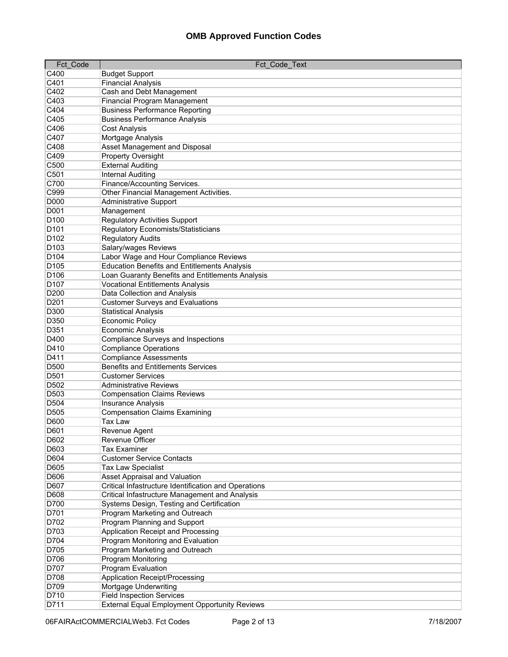| <b>Fct Code</b>     | Fct Code Text                                        |
|---------------------|------------------------------------------------------|
| C400                | <b>Budget Support</b>                                |
| C401                | <b>Financial Analysis</b>                            |
| C402                | Cash and Debt Management                             |
| C403                | <b>Financial Program Management</b>                  |
| C404                | <b>Business Performance Reporting</b>                |
| C405                | <b>Business Performance Analysis</b>                 |
| C406                | <b>Cost Analysis</b>                                 |
| C407                | Mortgage Analysis                                    |
| C408                | <b>Asset Management and Disposal</b>                 |
| C409                | Property Oversight                                   |
| C500                | <b>External Auditing</b>                             |
| C501                | <b>Internal Auditing</b>                             |
| C700                | Finance/Accounting Services.                         |
| C999                | Other Financial Management Activities.               |
| <b>D000</b>         | <b>Administrative Support</b>                        |
| <b>D001</b>         | Management                                           |
| D <sub>100</sub>    | <b>Regulatory Activities Support</b>                 |
| D <sub>101</sub>    | <b>Regulatory Economists/Statisticians</b>           |
| D <sub>102</sub>    | <b>Regulatory Audits</b>                             |
| D <sub>103</sub>    | Salary/wages Reviews                                 |
| D <sub>104</sub>    | Labor Wage and Hour Compliance Reviews               |
| D <sub>105</sub>    | <b>Education Benefits and Entitlements Analysis</b>  |
| D <sub>106</sub>    | Loan Guaranty Benefits and Entitlements Analysis     |
| D <sub>107</sub>    | <b>Vocational Entitlements Analysis</b>              |
| D200                | Data Collection and Analysis                         |
| D201                | <b>Customer Surveys and Evaluations</b>              |
| D300                | <b>Statistical Analysis</b>                          |
| D350                | <b>Economic Policy</b>                               |
| D351                | Economic Analysis                                    |
| D400                | <b>Compliance Surveys and Inspections</b>            |
| D410                | <b>Compliance Operations</b>                         |
| D411                | <b>Compliance Assessments</b>                        |
| D500                | <b>Benefits and Entitlements Services</b>            |
| D501                | <b>Customer Services</b>                             |
| D502                | <b>Administrative Reviews</b>                        |
| D503                | <b>Compensation Claims Reviews</b>                   |
| D504                | <b>Insurance Analysis</b>                            |
| D505                | <b>Compensation Claims Examining</b>                 |
| <b>D600</b><br>D601 | Tax Law                                              |
| D602                | Revenue Agent<br>Revenue Officer                     |
| D603                | <b>Tax Examiner</b>                                  |
| D604                | <b>Customer Service Contacts</b>                     |
| D605                | <b>Tax Law Specialist</b>                            |
| D606                | Asset Appraisal and Valuation                        |
| D607                | Critical Infastructure Identification and Operations |
| D608                | Critical Infastructure Management and Analysis       |
| D700                | Systems Design, Testing and Certification            |
| D701                | Program Marketing and Outreach                       |
| D702                | Program Planning and Support                         |
| D703                | Application Receipt and Processing                   |
| D704                | Program Monitoring and Evaluation                    |
| D705                | Program Marketing and Outreach                       |
| D706                | Program Monitoring                                   |
| D707                | Program Evaluation                                   |
| D708                | Application Receipt/Processing                       |
| D709                | Mortgage Underwriting                                |
| D710                | <b>Field Inspection Services</b>                     |
| D711                | <b>External Equal Employment Opportunity Reviews</b> |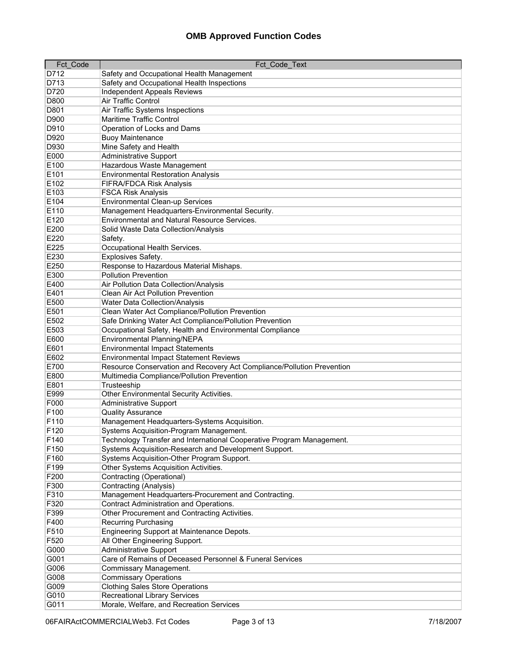| Fct_Code | Fct_Code_Text                                                          |
|----------|------------------------------------------------------------------------|
| D712     | Safety and Occupational Health Management                              |
| D713     | Safety and Occupational Health Inspections                             |
| D720     | <b>Independent Appeals Reviews</b>                                     |
| D800     | <b>Air Traffic Control</b>                                             |
| D801     | Air Traffic Systems Inspections                                        |
| D900     | Maritime Traffic Control                                               |
| D910     | Operation of Locks and Dams                                            |
| D920     | <b>Buoy Maintenance</b>                                                |
| D930     | Mine Safety and Health                                                 |
| E000     | <b>Administrative Support</b>                                          |
| E100     | Hazardous Waste Management                                             |
| E101     | <b>Environmental Restoration Analysis</b>                              |
| E102     | <b>FIFRA/FDCA Risk Analysis</b>                                        |
| E103     | <b>FSCA Risk Analysis</b>                                              |
| E104     | <b>Environmental Clean-up Services</b>                                 |
| E110     | Management Headquarters-Environmental Security.                        |
| E120     | <b>Environmental and Natural Resource Services.</b>                    |
| E200     | Solid Waste Data Collection/Analysis                                   |
| E220     | Safety.                                                                |
| E225     | Occupational Health Services.                                          |
| E230     | Explosives Safety.                                                     |
| E250     | Response to Hazardous Material Mishaps.                                |
| E300     | <b>Pollution Prevention</b>                                            |
| E400     | Air Pollution Data Collection/Analysis                                 |
|          |                                                                        |
| E401     | Clean Air Act Pollution Prevention                                     |
| E500     | <b>Water Data Collection/Analysis</b>                                  |
| E501     | Clean Water Act Compliance/Pollution Prevention                        |
| E502     | Safe Drinking Water Act Compliance/Pollution Prevention                |
| E503     | Occupational Safety, Health and Environmental Compliance               |
| E600     | Environmental Planning/NEPA                                            |
| E601     | <b>Environmental Impact Statements</b>                                 |
| E602     | <b>Environmental Impact Statement Reviews</b>                          |
| E700     | Resource Conservation and Recovery Act Compliance/Pollution Prevention |
| E800     | Multimedia Compliance/Pollution Prevention                             |
| E801     | Trusteeship                                                            |
| E999     | Other Environmental Security Activities.                               |
| F000     | <b>Administrative Support</b>                                          |
| F100     | <b>Quality Assurance</b>                                               |
| F110     | Management Headquarters-Systems Acquisition.                           |
| F120     | Systems Acquisition-Program Management.                                |
| F140     | Technology Transfer and International Cooperative Program Management.  |
| F150     | Systems Acquisition-Research and Development Support.                  |
| F160     | Systems Acquisition-Other Program Support.                             |
| F199     | Other Systems Acquisition Activities.                                  |
| F200     | Contracting (Operational)                                              |
| F300     | Contracting (Analysis)                                                 |
| F310     | Management Headquarters-Procurement and Contracting.                   |
| F320     | <b>Contract Administration and Operations.</b>                         |
| F399     | Other Procurement and Contracting Activities.                          |
| F400     | Recurring Purchasing                                                   |
| F510     | Engineering Support at Maintenance Depots.                             |
| F520     | All Other Engineering Support.                                         |
| G000     | <b>Administrative Support</b>                                          |
| G001     | Care of Remains of Deceased Personnel & Funeral Services               |
| G006     | Commissary Management.                                                 |
| G008     | <b>Commissary Operations</b>                                           |
| G009     | <b>Clothing Sales Store Operations</b>                                 |
| G010     | <b>Recreational Library Services</b>                                   |
| G011     | Morale, Welfare, and Recreation Services                               |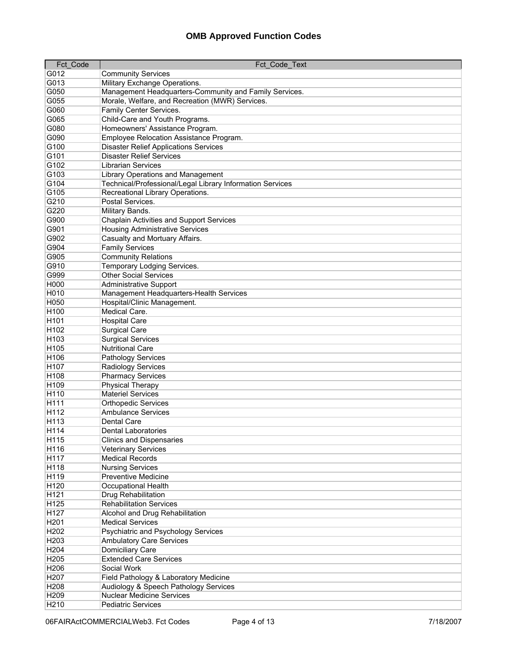| Fct Code         | Fct Code Text                                                                                  |
|------------------|------------------------------------------------------------------------------------------------|
| G012             | <b>Community Services</b>                                                                      |
| G013             | Military Exchange Operations.                                                                  |
| G050             | Management Headquarters-Community and Family Services.                                         |
| G055             | Morale, Welfare, and Recreation (MWR) Services.                                                |
| G060             | Family Center Services.                                                                        |
| G065             | Child-Care and Youth Programs.                                                                 |
| G080             | Homeowners' Assistance Program.                                                                |
| G090             | Employee Relocation Assistance Program.                                                        |
| G100             | <b>Disaster Relief Applications Services</b>                                                   |
| G101             | <b>Disaster Relief Services</b>                                                                |
| G102             | <b>Librarian Services</b>                                                                      |
| G103             |                                                                                                |
| G104             | Library Operations and Management<br>Technical/Professional/Legal Library Information Services |
| G105             | Recreational Library Operations.                                                               |
| G210             | Postal Services.                                                                               |
|                  |                                                                                                |
| G220             | Military Bands.                                                                                |
| G900             | Chaplain Activities and Support Services                                                       |
| G901             | <b>Housing Administrative Services</b>                                                         |
| G902             | Casualty and Mortuary Affairs.                                                                 |
| G904             | <b>Family Services</b>                                                                         |
| G905             | <b>Community Relations</b>                                                                     |
| G910             | Temporary Lodging Services.                                                                    |
| G999             | <b>Other Social Services</b>                                                                   |
| H000             | <b>Administrative Support</b>                                                                  |
| H010             | Management Headquarters-Health Services                                                        |
| H050             | Hospital/Clinic Management.                                                                    |
| H100             | Medical Care.                                                                                  |
| H <sub>101</sub> | <b>Hospital Care</b>                                                                           |
| H <sub>102</sub> | <b>Surgical Care</b>                                                                           |
| H <sub>103</sub> | <b>Surgical Services</b>                                                                       |
| H105             | <b>Nutritional Care</b>                                                                        |
| H106             | Pathology Services                                                                             |
| H107             | Radiology Services                                                                             |
| H <sub>108</sub> | <b>Pharmacy Services</b>                                                                       |
| H109             | <b>Physical Therapy</b>                                                                        |
| H <sub>110</sub> | <b>Materiel Services</b>                                                                       |
| H111             | <b>Orthopedic Services</b>                                                                     |
| H112             | <b>Ambulance Services</b>                                                                      |
| H <sub>113</sub> | <b>Dental Care</b>                                                                             |
| H114             | <b>Dental Laboratories</b>                                                                     |
| H <sub>115</sub> | <b>Clinics and Dispensaries</b>                                                                |
| H116             | <b>Veterinary Services</b>                                                                     |
| H117             | <b>Medical Records</b>                                                                         |
| H118             | <b>Nursing Services</b>                                                                        |
| H119             | Preventive Medicine                                                                            |
| H120             | Occupational Health                                                                            |
| H121             | Drug Rehabilitation                                                                            |
| H125             | <b>Rehabilitation Services</b>                                                                 |
| H127             | Alcohol and Drug Rehabilitation                                                                |
| H201             | <b>Medical Services</b>                                                                        |
| H202             | Psychiatric and Psychology Services                                                            |
| H203             | <b>Ambulatory Care Services</b>                                                                |
| H204             | Domiciliary Care                                                                               |
| H205             | <b>Extended Care Services</b>                                                                  |
| H206             | Social Work                                                                                    |
| H207             | Field Pathology & Laboratory Medicine                                                          |
| H208             | Audiology & Speech Pathology Services                                                          |
| H209             | <b>Nuclear Medicine Services</b>                                                               |
| H210             | <b>Pediatric Services</b>                                                                      |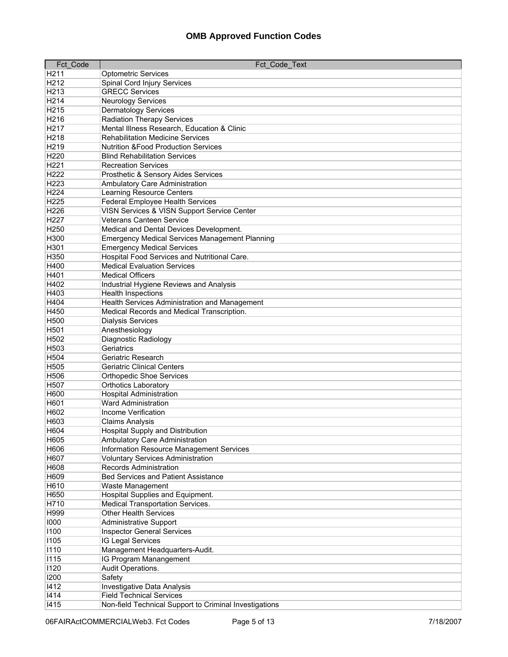| Fct Code         | Fct Code Text                                                      |
|------------------|--------------------------------------------------------------------|
| H <sub>211</sub> | <b>Optometric Services</b>                                         |
| H212             | Spinal Cord Injury Services                                        |
| H213             | <b>GRECC Services</b>                                              |
| H214             | <b>Neurology Services</b>                                          |
| H215             | <b>Dermatology Services</b>                                        |
| H216             | <b>Radiation Therapy Services</b>                                  |
| H217             | Mental Illness Research, Education & Clinic                        |
| H218             | <b>Rehabilitation Medicine Services</b>                            |
| H219             | <b>Nutrition &amp;Food Production Services</b>                     |
| H220             | <b>Blind Rehabilitation Services</b>                               |
| H221             | <b>Recreation Services</b>                                         |
| H222             | Prosthetic & Sensory Aides Services                                |
| H223             | Ambulatory Care Administration                                     |
| H224             | <b>Learning Resource Centers</b>                                   |
| H225             | <b>Federal Employee Health Services</b>                            |
| H226             | VISN Services & VISN Support Service Center                        |
| H227             | <b>Veterans Canteen Service</b>                                    |
| H250             | Medical and Dental Devices Development.                            |
| H300             | <b>Emergency Medical Services Management Planning</b>              |
| H301             | <b>Emergency Medical Services</b>                                  |
| H350             | Hospital Food Services and Nutritional Care.                       |
| H400             | <b>Medical Evaluation Services</b>                                 |
| H401             | <b>Medical Officers</b>                                            |
| H402             | Industrial Hygiene Reviews and Analysis                            |
| H403             | <b>Health Inspections</b>                                          |
| H404             | Health Services Administration and Management                      |
| H450             | Medical Records and Medical Transcription.                         |
| H500             | <b>Dialysis Services</b>                                           |
| H501             | Anesthesiology                                                     |
| H502             | Diagnostic Radiology                                               |
| H503             | Geriatrics                                                         |
| H504             | Geriatric Research                                                 |
| H505             | <b>Geriatric Clinical Centers</b>                                  |
| H506             | <b>Orthopedic Shoe Services</b>                                    |
| H507             | <b>Orthotics Laboratory</b>                                        |
| H600             | <b>Hospital Administration</b>                                     |
| H601             | <b>Ward Administration</b>                                         |
| H602             | Income Verification                                                |
| H603             | <b>Claims Analysis</b>                                             |
| H604             | Hospital Supply and Distribution                                   |
| H605             | Ambulatory Care Administration                                     |
| H606             | Information Resource Management Services                           |
| H607             | <b>Voluntary Services Administration</b>                           |
| H608             | <b>Records Administration</b>                                      |
| H609<br>H610     | <b>Bed Services and Patient Assistance</b>                         |
| H650             | Waste Management<br>Hospital Supplies and Equipment.               |
|                  | <b>Medical Transportation Services.</b>                            |
| H710<br>H999     | <b>Other Health Services</b>                                       |
| 1000             |                                                                    |
| 1100             | <b>Administrative Support</b><br><b>Inspector General Services</b> |
| 1105             | IG Legal Services                                                  |
| 1110             | Management Headquarters-Audit.                                     |
| 1115             | IG Program Manangement                                             |
| 1120             | Audit Operations.                                                  |
| 1200             | Safety                                                             |
| 1412             | Investigative Data Analysis                                        |
| 1414             | <b>Field Technical Services</b>                                    |
| 1415             | Non-field Technical Support to Criminal Investigations             |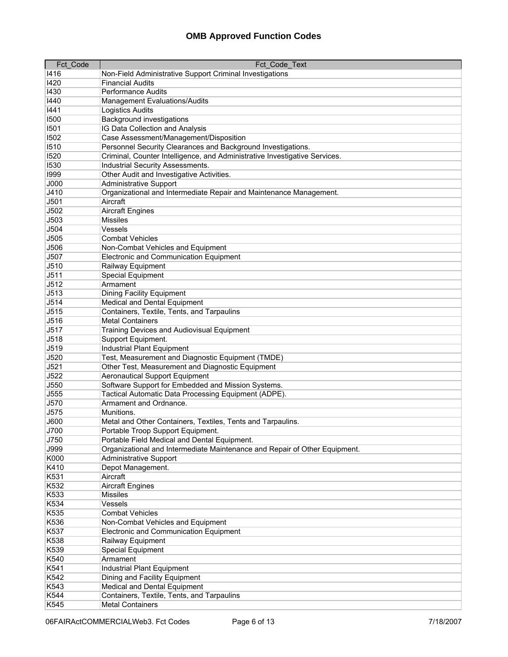| Fct Code    | Fct Code Text                                                                  |
|-------------|--------------------------------------------------------------------------------|
| 1416        | Non-Field Administrative Support Criminal Investigations                       |
| 1420        | <b>Financial Audits</b>                                                        |
| 1430        | <b>Performance Audits</b>                                                      |
| 1440        | Management Evaluations/Audits                                                  |
| 1441        | <b>Logistics Audits</b>                                                        |
| 1500        | <b>Background investigations</b>                                               |
| 1501        | IG Data Collection and Analysis                                                |
| 1502        | Case Assessment/Management/Disposition                                         |
| 1510        | Personnel Security Clearances and Background Investigations.                   |
| 1520        | Criminal, Counter Intelligence, and Administrative Investigative Services.     |
| 1530        | Industrial Security Assessments.                                               |
| 1999        | Other Audit and Investigative Activities.                                      |
| <b>J000</b> | <b>Administrative Support</b>                                                  |
| J410        |                                                                                |
| J501        | Organizational and Intermediate Repair and Maintenance Management.<br>Aircraft |
| J502        |                                                                                |
|             | <b>Aircraft Engines</b><br><b>Missiles</b>                                     |
| J503        | Vessels                                                                        |
| J504        |                                                                                |
| J505        | <b>Combat Vehicles</b>                                                         |
| J506        | Non-Combat Vehicles and Equipment                                              |
| J507        | Electronic and Communication Equipment                                         |
| J510        | Railway Equipment                                                              |
| J511        | Special Equipment                                                              |
| J512        | Armament                                                                       |
| J513        | <b>Dining Facility Equipment</b>                                               |
| J514        | Medical and Dental Equipment                                                   |
| J515        | Containers, Textile, Tents, and Tarpaulins                                     |
| J516        | <b>Metal Containers</b>                                                        |
| J517        | Training Devices and Audiovisual Equipment                                     |
| J518        | Support Equipment.                                                             |
| J519        | <b>Industrial Plant Equipment</b>                                              |
| J520        | Test, Measurement and Diagnostic Equipment (TMDE)                              |
| J521        | Other Test, Measurement and Diagnostic Equipment                               |
| J522        | <b>Aeronautical Support Equipment</b>                                          |
| J550        | Software Support for Embedded and Mission Systems.                             |
| J555        | Tactical Automatic Data Processing Equipment (ADPE).                           |
| J570        | Armament and Ordnance.                                                         |
| J575        | Munitions.                                                                     |
| J600        | Metal and Other Containers, Textiles, Tents and Tarpaulins.                    |
| J700        | Portable Troop Support Equipment.                                              |
| J750        | Portable Field Medical and Dental Equipment.                                   |
| J999        | Organizational and Intermediate Maintenance and Repair of Other Equipment.     |
| K000        | <b>Administrative Support</b>                                                  |
| K410        | Depot Management.                                                              |
| K531        | Aircraft                                                                       |
| K532        | <b>Aircraft Engines</b>                                                        |
| K533        | <b>Missiles</b>                                                                |
| K534        | Vessels                                                                        |
| K535        | <b>Combat Vehicles</b>                                                         |
| K536        | Non-Combat Vehicles and Equipment                                              |
| K537        | <b>Electronic and Communication Equipment</b>                                  |
| K538        | Railway Equipment                                                              |
| K539        | Special Equipment                                                              |
| K540        | Armament                                                                       |
| K541        | <b>Industrial Plant Equipment</b>                                              |
| K542        | Dining and Facility Equipment                                                  |
| K543        | Medical and Dental Equipment                                                   |
| K544        | Containers, Textile, Tents, and Tarpaulins                                     |
| K545        | <b>Metal Containers</b>                                                        |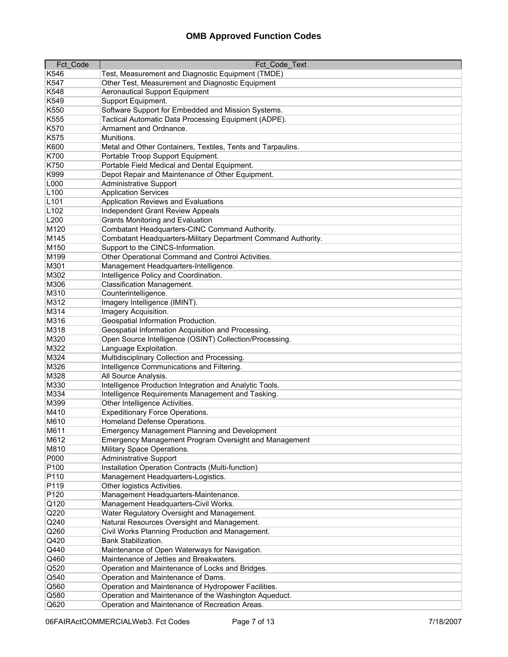| Fct Code         | Fct Code Text                                                 |
|------------------|---------------------------------------------------------------|
| K546             | Test, Measurement and Diagnostic Equipment (TMDE)             |
| K547             | Other Test, Measurement and Diagnostic Equipment              |
| K548             | <b>Aeronautical Support Equipment</b>                         |
| K549             | Support Equipment.                                            |
| K550             | Software Support for Embedded and Mission Systems.            |
| K555             | Tactical Automatic Data Processing Equipment (ADPE).          |
| K570             | Armament and Ordnance.                                        |
| K575             | Munitions.                                                    |
| K600             | Metal and Other Containers, Textiles, Tents and Tarpaulins.   |
| K700             | Portable Troop Support Equipment.                             |
| K750             | Portable Field Medical and Dental Equipment.                  |
| K999             | Depot Repair and Maintenance of Other Equipment.              |
| L000             | <b>Administrative Support</b>                                 |
| L100             | <b>Application Services</b>                                   |
| L <sub>101</sub> | Application Reviews and Evaluations                           |
|                  |                                                               |
| L <sub>102</sub> | <b>Independent Grant Review Appeals</b>                       |
| L200             | <b>Grants Monitoring and Evaluation</b>                       |
| M120             | Combatant Headquarters-CINC Command Authority.                |
| M145             | Combatant Headquarters-Military Department Command Authority. |
| M150             | Support to the CINCS-Information.                             |
| M199             | Other Operational Command and Control Activities.             |
| M301             | Management Headquarters-Intelligence.                         |
| M302             | Intelligence Policy and Coordination.                         |
| M306             | <b>Classification Management.</b>                             |
| M310             | Counterintelligence.                                          |
| M312             | Imagery Intelligence (IMINT).                                 |
| M314             | Imagery Acquisition.                                          |
| M316             | Geospatial Information Production.                            |
| M318             | Geospatial Information Acquisition and Processing.            |
| M320             | Open Source Intelligence (OSINT) Collection/Processing.       |
| M322             | Language Exploitation.                                        |
| M324             | Multidisciplinary Collection and Processing.                  |
| M326             | Intelligence Communications and Filtering.                    |
| M328             | All Source Analysis.                                          |
| M330             | Intelligence Production Integration and Analytic Tools.       |
| M334             | Intelligence Requirements Management and Tasking.             |
| M399             | Other Intelligence Activities.                                |
| M410             | <b>Expeditionary Force Operations.</b>                        |
| M610             | Homeland Defense Operations.                                  |
| M611             | Emergency Management Planning and Development                 |
| M612             | Emergency Management Program Oversight and Management         |
| M810             | Military Space Operations.                                    |
| P000             | <b>Administrative Support</b>                                 |
| P100             | Installation Operation Contracts (Multi-function)             |
| P110             | Management Headquarters-Logistics.                            |
| P119             | Other logistics Activities.                                   |
| P120             | Management Headquarters-Maintenance.                          |
| Q120             | Management Headquarters-Civil Works.                          |
| Q220             | Water Regulatory Oversight and Management.                    |
| Q240             | Natural Resources Oversight and Management.                   |
| Q260             | Civil Works Planning Production and Management.               |
| Q420             | Bank Stabilization.                                           |
| Q440             | Maintenance of Open Waterways for Navigation.                 |
| Q460             | Maintenance of Jetties and Breakwaters.                       |
| Q520             | Operation and Maintenance of Locks and Bridges.               |
| Q540             | Operation and Maintenance of Dams.                            |
| Q560             | Operation and Maintenance of Hydropower Facilities.           |
| Q580             | Operation and Maintenance of the Washington Aqueduct.         |
| Q620             | Operation and Maintenance of Recreation Areas.                |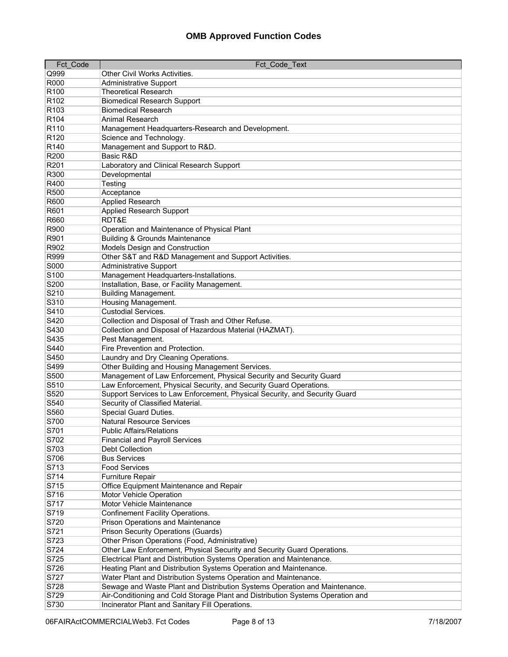| Fct Code         | Fct Code Text                                                                  |
|------------------|--------------------------------------------------------------------------------|
| Q999             | Other Civil Works Activities.                                                  |
| R000             | <b>Administrative Support</b>                                                  |
| R100             | <b>Theoretical Research</b>                                                    |
| R <sub>102</sub> | <b>Biomedical Research Support</b>                                             |
| R <sub>103</sub> | <b>Biomedical Research</b>                                                     |
| R <sub>104</sub> | Animal Research                                                                |
| R110             | Management Headquarters-Research and Development.                              |
| R <sub>120</sub> | Science and Technology.                                                        |
| R <sub>140</sub> | Management and Support to R&D.                                                 |
| R200             | Basic R&D                                                                      |
| R201             | Laboratory and Clinical Research Support                                       |
| R300             | Developmental                                                                  |
| R400             | Testing                                                                        |
| <b>R500</b>      | Acceptance                                                                     |
| R600             | Applied Research                                                               |
| R601             | <b>Applied Research Support</b>                                                |
| R660             | RDT&E                                                                          |
| R900             | Operation and Maintenance of Physical Plant                                    |
| R901             | <b>Building &amp; Grounds Maintenance</b>                                      |
| R902             | Models Design and Construction                                                 |
| R999             | Other S&T and R&D Management and Support Activities.                           |
| S000             | <b>Administrative Support</b>                                                  |
| S <sub>100</sub> | Management Headquarters-Installations.                                         |
| S200             | Installation, Base, or Facility Management.                                    |
| S210             | <b>Building Management.</b>                                                    |
| S310             | Housing Management.                                                            |
| S410             | <b>Custodial Services.</b>                                                     |
| S420             | Collection and Disposal of Trash and Other Refuse.                             |
| S430             | Collection and Disposal of Hazardous Material (HAZMAT).                        |
| S435             | Pest Management.                                                               |
| S440             | Fire Prevention and Protection.                                                |
| S450             | Laundry and Dry Cleaning Operations.                                           |
| S499             | Other Building and Housing Management Services.                                |
| S500             | Management of Law Enforcement, Physical Security and Security Guard            |
| S510             | Law Enforcement, Physical Security, and Security Guard Operations.             |
| S520             | Support Services to Law Enforcement, Physical Security, and Security Guard     |
| S540             | Security of Classified Material.                                               |
| S560             | Special Guard Duties.                                                          |
| S700             | <b>Natural Resource Services</b>                                               |
| S701             | <b>Public Affairs/Relations</b>                                                |
| S702             | <b>Financial and Payroll Services</b>                                          |
| S703             | <b>Debt Collection</b>                                                         |
| S706             | <b>Bus Services</b>                                                            |
| S713             | <b>Food Services</b>                                                           |
| S714             | Furniture Repair                                                               |
| S715             | Office Equipment Maintenance and Repair                                        |
| S716             | Motor Vehicle Operation                                                        |
| S717             | Motor Vehicle Maintenance                                                      |
| S719             | Confinement Facility Operations.                                               |
| S720             | <b>Prison Operations and Maintenance</b>                                       |
| S721             | Prison Security Operations (Guards)                                            |
| S723             | Other Prison Operations (Food, Administrative)                                 |
| S724             | Other Law Enforcement, Physical Security and Security Guard Operations.        |
| S725             | Electrical Plant and Distribution Systems Operation and Maintenance.           |
| S726             | Heating Plant and Distribution Systems Operation and Maintenance.              |
| S727             | Water Plant and Distribution Systems Operation and Maintenance.                |
| S728             | Sewage and Waste Plant and Distribution Systems Operation and Maintenance.     |
| S729             | Air-Conditioning and Cold Storage Plant and Distribution Systems Operation and |
| S730             | Incinerator Plant and Sanitary Fill Operations.                                |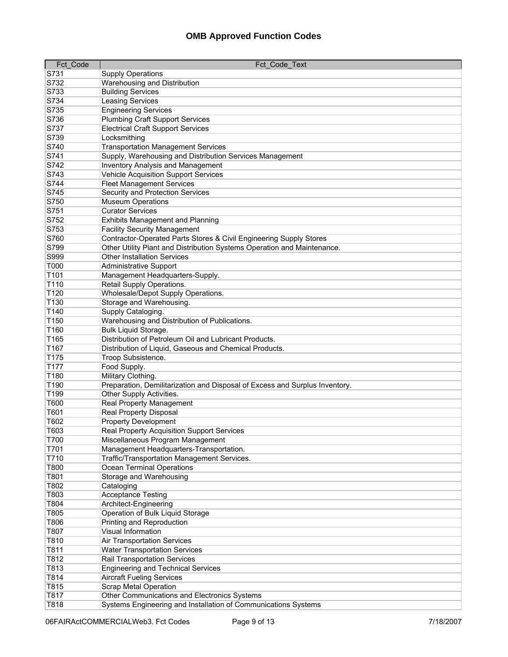| Fct Code         | Fct Code Text                                                                                             |
|------------------|-----------------------------------------------------------------------------------------------------------|
| S731             | <b>Supply Operations</b>                                                                                  |
| S732             | Warehousing and Distribution                                                                              |
| S733             | <b>Building Services</b>                                                                                  |
| S734             | Leasing Services                                                                                          |
| S735             | <b>Engineering Services</b>                                                                               |
| S736             | <b>Plumbing Craft Support Services</b>                                                                    |
| S737             | <b>Electrical Craft Support Services</b>                                                                  |
| S739             | Locksmithing                                                                                              |
| S740             | <b>Transportation Management Services</b>                                                                 |
| S741             | Supply, Warehousing and Distribution Services Management                                                  |
| S742             | <b>Inventory Analysis and Management</b>                                                                  |
| S743             | <b>Vehicle Acquisition Support Services</b>                                                               |
| S744             | <b>Fleet Management Services</b>                                                                          |
| S745             | Security and Protection Services                                                                          |
| S750             | <b>Museum Operations</b>                                                                                  |
| S751             | <b>Curator Services</b>                                                                                   |
| S752             | <b>Exhibits Management and Planning</b>                                                                   |
| S753             |                                                                                                           |
| S760             | <b>Facility Security Management</b><br>Contractor-Operated Parts Stores & Civil Engineering Supply Stores |
| S799             |                                                                                                           |
|                  | Other Utility Plant and Distribution Systems Operation and Maintenance.                                   |
| S999             | <b>Other Installation Services</b>                                                                        |
| T000             | <b>Administrative Support</b>                                                                             |
| T101             | Management Headquarters-Supply.                                                                           |
| T110             | Retail Supply Operations.                                                                                 |
| T <sub>120</sub> | Wholesale/Depot Supply Operations.                                                                        |
| T130             | Storage and Warehousing.                                                                                  |
| T140             | Supply Cataloging.                                                                                        |
| T150             | Warehousing and Distribution of Publications.                                                             |
| T160             | Bulk Liquid Storage.                                                                                      |
| T165             | Distribution of Petroleum Oil and Lubricant Products.                                                     |
| T167             | Distribution of Liquid, Gaseous and Chemical Products.                                                    |
| T175             | Troop Subsistence.                                                                                        |
| T177             | Food Supply.                                                                                              |
| T180             | Military Clothing.                                                                                        |
| T190             | Preparation, Demilitarization and Disposal of Excess and Surplus Inventory.                               |
| T <sub>199</sub> | Other Supply Activities.                                                                                  |
| T600             | Real Property Management                                                                                  |
| T601             | <b>Real Property Disposal</b>                                                                             |
| T602             | <b>Property Development</b>                                                                               |
| T603             | Real Property Acquisition Support Services                                                                |
| T700             | Miscellaneous Program Management                                                                          |
| T701             | Management Headquarters-Transportation.                                                                   |
| T710             | Traffic/Transportation Management Services.                                                               |
| T800             | Ocean Terminal Operations                                                                                 |
| T801             | Storage and Warehousing                                                                                   |
| T802             | Cataloging                                                                                                |
| T803             | <b>Acceptance Testing</b>                                                                                 |
| T804             | Architect-Engineering                                                                                     |
| T805             | Operation of Bulk Liquid Storage                                                                          |
| T806             | <b>Printing and Reproduction</b>                                                                          |
| T807             | <b>Visual Information</b>                                                                                 |
| T810             | <b>Air Transportation Services</b>                                                                        |
| T811             | <b>Water Transportation Services</b>                                                                      |
| T812             | Rail Transportation Services                                                                              |
| T813             | <b>Engineering and Technical Services</b>                                                                 |
| T814             | <b>Aircraft Fueling Services</b>                                                                          |
| T815             | <b>Scrap Metal Operation</b>                                                                              |
| T817             | Other Communications and Electronics Systems                                                              |
| T818             | Systems Engineering and Installation of Communications Systems                                            |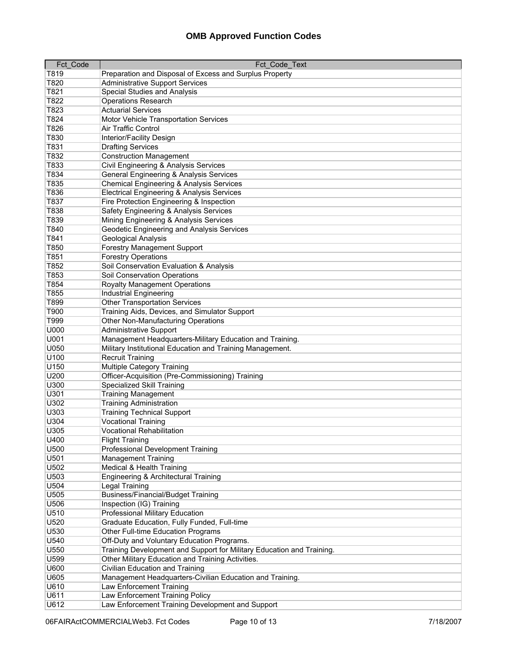| Fct Code | Fct Code Text                                                         |
|----------|-----------------------------------------------------------------------|
| T819     | Preparation and Disposal of Excess and Surplus Property               |
| T820     | <b>Administrative Support Services</b>                                |
| T821     | <b>Special Studies and Analysis</b>                                   |
| T822     | <b>Operations Research</b>                                            |
| T823     | <b>Actuarial Services</b>                                             |
| T824     | Motor Vehicle Transportation Services                                 |
| T826     | Air Traffic Control                                                   |
| T830     | Interior/Facility Design                                              |
| T831     | <b>Drafting Services</b>                                              |
| T832     |                                                                       |
|          | <b>Construction Management</b>                                        |
| T833     | Civil Engineering & Analysis Services                                 |
| T834     | General Engineering & Analysis Services                               |
| T835     | Chemical Engineering & Analysis Services                              |
| T836     | <b>Electrical Engineering &amp; Analysis Services</b>                 |
| T837     | Fire Protection Engineering & Inspection                              |
| T838     | Safety Engineering & Analysis Services                                |
| T839     | Mining Engineering & Analysis Services                                |
| T840     | Geodetic Engineering and Analysis Services                            |
| T841     | Geological Analysis                                                   |
| T850     | <b>Forestry Management Support</b>                                    |
| T851     | <b>Forestry Operations</b>                                            |
| T852     | Soil Conservation Evaluation & Analysis                               |
| T853     | Soil Conservation Operations                                          |
| T854     | <b>Royalty Management Operations</b>                                  |
| T855     | <b>Industrial Engineering</b>                                         |
| T899     | <b>Other Transportation Services</b>                                  |
| T900     | Training Aids, Devices, and Simulator Support                         |
| T999     | Other Non-Manufacturing Operations                                    |
| U000     | <b>Administrative Support</b>                                         |
| U001     | Management Headquarters-Military Education and Training.              |
| U050     | Military Institutional Education and Training Management.             |
| U100     | <b>Recruit Training</b>                                               |
| U150     | Multiple Category Training                                            |
| U200     | Officer-Acquisition (Pre-Commissioning) Training                      |
| U300     | Specialized Skill Training                                            |
| U301     | <b>Training Management</b>                                            |
| U302     | <b>Training Administration</b>                                        |
| U303     | <b>Training Technical Support</b>                                     |
| U304     | <b>Vocational Training</b>                                            |
| U305     | <b>Vocational Rehabilitation</b>                                      |
| U400     | <b>Flight Training</b>                                                |
| U500     | <b>Professional Development Training</b>                              |
| U501     | <b>Management Training</b>                                            |
| U502     | <b>Medical &amp; Health Training</b>                                  |
| U503     | Engineering & Architectural Training                                  |
| U504     | <b>Legal Training</b>                                                 |
| U505     | <b>Business/Financial/Budget Training</b>                             |
| U506     | Inspection (IG) Training                                              |
|          |                                                                       |
| U510     | Professional Military Education                                       |
| U520     | Graduate Education, Fully Funded, Full-time                           |
| U530     | <b>Other Full-time Education Programs</b>                             |
| U540     | Off-Duty and Voluntary Education Programs.                            |
| U550     | Training Development and Support for Military Education and Training. |
| U599     | Other Military Education and Training Activities.                     |
| U600     | Civilian Education and Training                                       |
| U605     | Management Headquarters-Civilian Education and Training.              |
| U610     | Law Enforcement Training                                              |
| U611     | Law Enforcement Training Policy                                       |
| U612     | Law Enforcement Training Development and Support                      |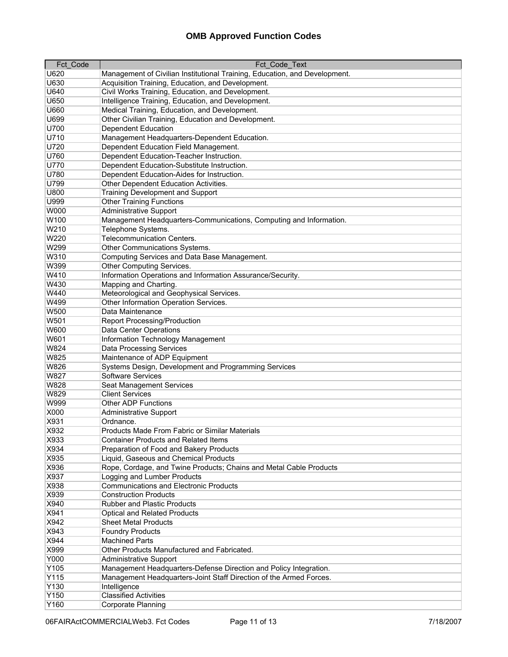| Fct_Code | Fct_Code_Text                                                              |
|----------|----------------------------------------------------------------------------|
| U620     | Management of Civilian Institutional Training, Education, and Development. |
| U630     | Acquisition Training, Education, and Development.                          |
| U640     | Civil Works Training, Education, and Development.                          |
| U650     | Intelligence Training, Education, and Development.                         |
| U660     | Medical Training, Education, and Development.                              |
| U699     | Other Civilian Training, Education and Development.                        |
| U700     | <b>Dependent Education</b>                                                 |
| U710     | Management Headquarters-Dependent Education.                               |
| U720     | Dependent Education Field Management.                                      |
| U760     | Dependent Education-Teacher Instruction.                                   |
| U770     | Dependent Education-Substitute Instruction.                                |
| U780     | Dependent Education-Aides for Instruction.                                 |
| U799     |                                                                            |
|          | Other Dependent Education Activities.                                      |
| U800     | <b>Training Development and Support</b>                                    |
| U999     | <b>Other Training Functions</b>                                            |
| W000     | <b>Administrative Support</b>                                              |
| W100     | Management Headquarters-Communications, Computing and Information.         |
| W210     | Telephone Systems.                                                         |
| W220     | <b>Telecommunication Centers.</b>                                          |
| W299     | Other Communications Systems.                                              |
| W310     | Computing Services and Data Base Management.                               |
| W399     | Other Computing Services.                                                  |
| W410     | Information Operations and Information Assurance/Security.                 |
| W430     | Mapping and Charting.                                                      |
| W440     | Meteorological and Geophysical Services.                                   |
| W499     | Other Information Operation Services.                                      |
| W500     | Data Maintenance                                                           |
| W501     | <b>Report Processing/Production</b>                                        |
| W600     | Data Center Operations                                                     |
| W601     | Information Technology Management                                          |
| W824     | <b>Data Processing Services</b>                                            |
| W825     | Maintenance of ADP Equipment                                               |
| W826     | Systems Design, Development and Programming Services                       |
| W827     | <b>Software Services</b>                                                   |
| W828     | Seat Management Services                                                   |
| W829     | <b>Client Services</b>                                                     |
| W999     | <b>Other ADP Functions</b>                                                 |
| X000     | <b>Administrative Support</b>                                              |
| X931     | Ordnance.                                                                  |
| X932     | Products Made From Fabric or Similar Materials                             |
| X933     | <b>Container Products and Related Items</b>                                |
| X934     | Preparation of Food and Bakery Products                                    |
| X935     | Liquid, Gaseous and Chemical Products                                      |
| X936     | Rope, Cordage, and Twine Products; Chains and Metal Cable Products         |
| X937     | Logging and Lumber Products                                                |
| X938     | <b>Communications and Electronic Products</b>                              |
| X939     | <b>Construction Products</b>                                               |
| X940     | <b>Rubber and Plastic Products</b>                                         |
| X941     | <b>Optical and Related Products</b>                                        |
| X942     | <b>Sheet Metal Products</b>                                                |
|          |                                                                            |
| X943     | <b>Foundry Products</b>                                                    |
| X944     | <b>Machined Parts</b>                                                      |
| X999     | Other Products Manufactured and Fabricated.                                |
| Y000     | <b>Administrative Support</b>                                              |
| Y105     | Management Headquarters-Defense Direction and Policy Integration.          |
| Y115     | Management Headquarters-Joint Staff Direction of the Armed Forces.         |
| Y130     | Intelligence                                                               |
| Y150     | <b>Classified Activities</b>                                               |
| Y160     | Corporate Planning                                                         |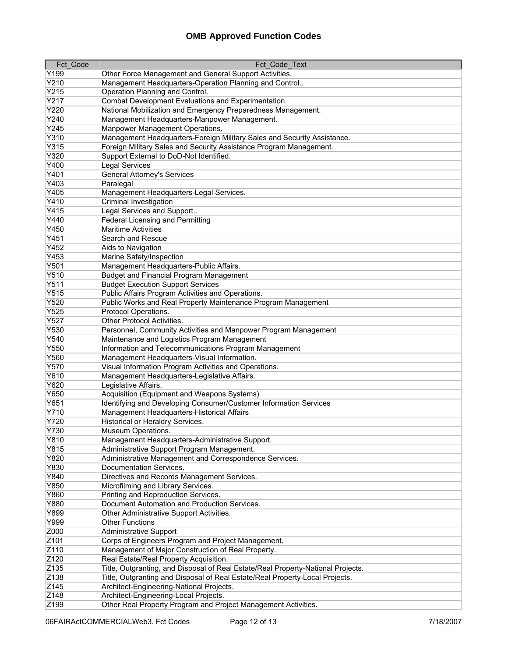| Fct Code     | <b>Fct Code Text</b>                                                             |
|--------------|----------------------------------------------------------------------------------|
| Y199         | Other Force Management and General Support Activities.                           |
| Y210         | Management Headquarters-Operation Planning and Control                           |
| Y215         | Operation Planning and Control.                                                  |
| Y217         | Combat Development Evaluations and Experimentation.                              |
| Y220         | National Mobilization and Emergency Preparedness Management.                     |
| Y240         | Management Headquarters-Manpower Management.                                     |
| Y245         | Manpower Management Operations.                                                  |
| Y310         | Management Headquarters-Foreign Military Sales and Security Assistance.          |
| Y315         | Foreign Military Sales and Security Assistance Program Management.               |
| Y320         | Support External to DoD-Not Identified.                                          |
| Y400         | <b>Legal Services</b>                                                            |
| Y401         | <b>General Attorney's Services</b>                                               |
| Y403         | Paralegal                                                                        |
| Y405         | Management Headquarters-Legal Services.                                          |
| Y410         | Criminal Investigation                                                           |
| Y415         |                                                                                  |
| Y440         | Legal Services and Support                                                       |
| Y450         | <b>Federal Licensing and Permitting</b><br><b>Maritime Activities</b>            |
|              |                                                                                  |
| Y451         | Search and Rescue                                                                |
| Y452         | Aids to Navigation                                                               |
| Y453         | Marine Safety/Inspection                                                         |
| Y501         | Management Headquarters-Public Affairs.                                          |
| Y510         | <b>Budget and Financial Program Management</b>                                   |
| Y511         | <b>Budget Execution Support Services</b>                                         |
| Y515         | Public Affairs Program Activities and Operations.                                |
| Y520         | Public Works and Real Property Maintenance Program Management                    |
| Y525         | Protocol Operations.                                                             |
| Y527         | Other Protocol Activities.                                                       |
| Y530         | Personnel, Community Activities and Manpower Program Management                  |
| Y540         | Maintenance and Logistics Program Management                                     |
| Y550         | Information and Telecommunications Program Management                            |
| Y560         | Management Headquarters-Visual Information.                                      |
| Y570         | Visual Information Program Activities and Operations.                            |
| Y610<br>Y620 | Management Headquarters-Legislative Affairs.                                     |
|              | Legislative Affairs.                                                             |
| Y650         | Acquisition (Equipment and Weapons Systems)                                      |
| Y651         | Identifying and Developing Consumer/Customer Information Services                |
| Y710         | Management Headquarters-Historical Affairs                                       |
| Y720         | Historical or Heraldry Services.                                                 |
| Y730         | Museum Operations.                                                               |
| Y810         | Management Headquarters-Administrative Support.                                  |
| Y815         | Administrative Support Program Management.                                       |
| Y820         | Administrative Management and Correspondence Services.                           |
| Y830         | Documentation Services.                                                          |
| Y840         | Directives and Records Management Services.                                      |
| Y850         | Microfilming and Library Services.                                               |
| Y860         | Printing and Reproduction Services.                                              |
| Y880         | Document Automation and Production Services.                                     |
| Y899         | Other Administrative Support Activities.                                         |
| Y999         | <b>Other Functions</b>                                                           |
| Z000         | Administrative Support                                                           |
| Z101         | Corps of Engineers Program and Project Management.                               |
| Z110         | Management of Major Construction of Real Property.                               |
| Z120         | Real Estate/Real Property Acquisition.                                           |
| Z135         | Title, Outgranting, and Disposal of Real Estate/Real Property-National Projects. |
| Z138         | Title, Outgranting and Disposal of Real Estate/Real Property-Local Projects.     |
| Z145         | Architect-Engineering-National Projects.                                         |
| Z148         | Architect-Engineering-Local Projects.                                            |
| Z199         | Other Real Property Program and Project Management Activities.                   |